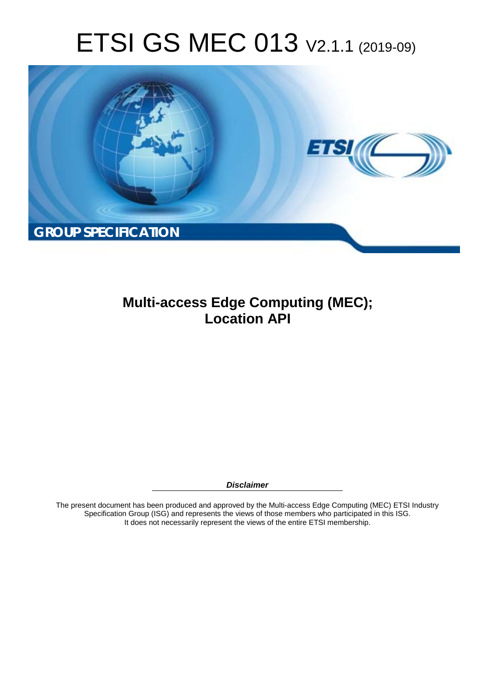# ETSI GS MEC 013 V2.1.1 (2019-09)



**Multi-access Edge Computing (MEC); Location API** 

*Disclaimer* 

The present document has been produced and approved by the Multi-access Edge Computing (MEC) ETSI Industry Specification Group (ISG) and represents the views of those members who participated in this ISG. It does not necessarily represent the views of the entire ETSI membership.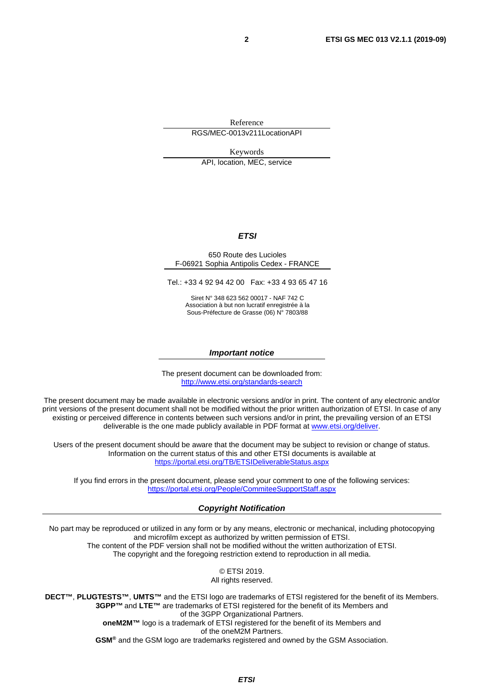Reference RGS/MEC-0013v211LocationAPI

Keywords

API, location, MEC, service

#### *ETSI*

#### 650 Route des Lucioles F-06921 Sophia Antipolis Cedex - FRANCE

Tel.: +33 4 92 94 42 00 Fax: +33 4 93 65 47 16

Siret N° 348 623 562 00017 - NAF 742 C Association à but non lucratif enregistrée à la Sous-Préfecture de Grasse (06) N° 7803/88

#### *Important notice*

The present document can be downloaded from: <http://www.etsi.org/standards-search>

The present document may be made available in electronic versions and/or in print. The content of any electronic and/or print versions of the present document shall not be modified without the prior written authorization of ETSI. In case of any existing or perceived difference in contents between such versions and/or in print, the prevailing version of an ETSI deliverable is the one made publicly available in PDF format at [www.etsi.org/deliver](http://www.etsi.org/deliver).

Users of the present document should be aware that the document may be subject to revision or change of status. Information on the current status of this and other ETSI documents is available at <https://portal.etsi.org/TB/ETSIDeliverableStatus.aspx>

If you find errors in the present document, please send your comment to one of the following services: <https://portal.etsi.org/People/CommiteeSupportStaff.aspx>

#### *Copyright Notification*

No part may be reproduced or utilized in any form or by any means, electronic or mechanical, including photocopying and microfilm except as authorized by written permission of ETSI. The content of the PDF version shall not be modified without the written authorization of ETSI. The copyright and the foregoing restriction extend to reproduction in all media.

> © ETSI 2019. All rights reserved.

**DECT™**, **PLUGTESTS™**, **UMTS™** and the ETSI logo are trademarks of ETSI registered for the benefit of its Members. **3GPP™** and **LTE™** are trademarks of ETSI registered for the benefit of its Members and of the 3GPP Organizational Partners. **oneM2M™** logo is a trademark of ETSI registered for the benefit of its Members and of the oneM2M Partners. **GSM®** and the GSM logo are trademarks registered and owned by the GSM Association.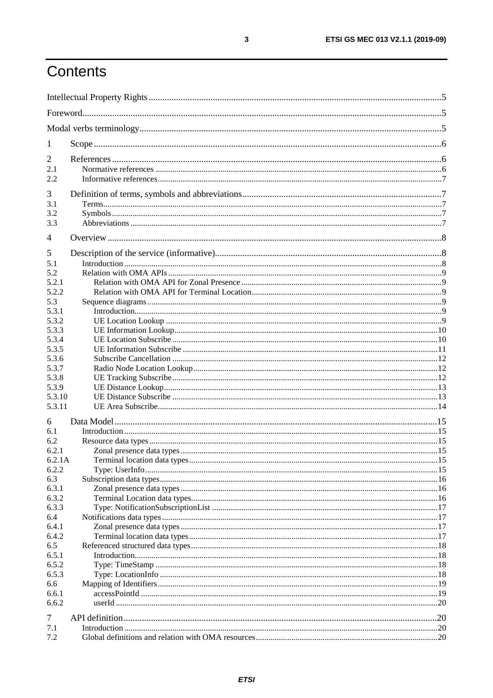## Contents

| $\mathbf{I}$                            |  |  |  |
|-----------------------------------------|--|--|--|
| 2<br>2.1<br>2.2                         |  |  |  |
| 3<br>3.1<br>3.2<br>3.3                  |  |  |  |
| 4                                       |  |  |  |
| 5<br>5.1<br>5.2<br>5.2.1                |  |  |  |
| 5.2.2<br>5.3<br>5.3.1<br>5.3.2          |  |  |  |
| 5.3.3<br>5.3.4<br>5.3.5<br>5.3.6        |  |  |  |
| 5.3.7<br>5.3.8<br>5.3.9<br>5.3.10       |  |  |  |
| 5.3.11                                  |  |  |  |
| 6<br>6.1<br>6.2<br>6.2.1<br>6.2.1A      |  |  |  |
| 6.2.2<br>6.3<br>6.3.1<br>6.3.2<br>6.3.3 |  |  |  |
| 6.4<br>6.4.1<br>6.4.2<br>6.5            |  |  |  |
| 6.5.1<br>6.5.2<br>6.5.3                 |  |  |  |
| 6.6<br>6.6.1<br>6.6.2                   |  |  |  |
| 7<br>7.1<br>7.2                         |  |  |  |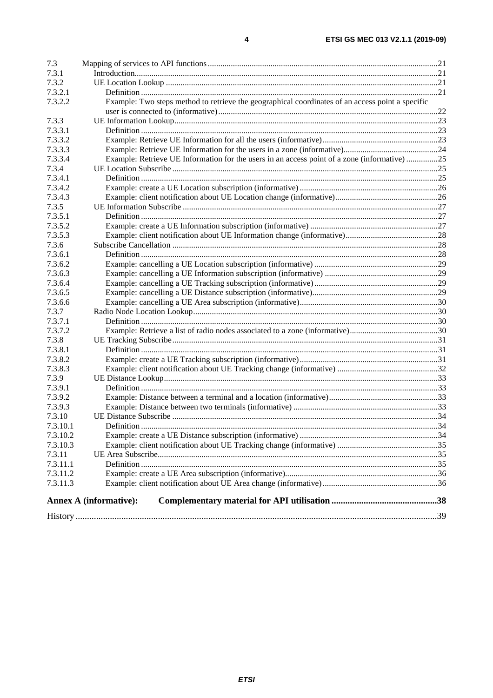| 7.3      |                                                                                                  |  |
|----------|--------------------------------------------------------------------------------------------------|--|
| 7.3.1    |                                                                                                  |  |
| 7.3.2    |                                                                                                  |  |
| 7.3.2.1  |                                                                                                  |  |
| 7.3.2.2  | Example: Two steps method to retrieve the geographical coordinates of an access point a specific |  |
|          |                                                                                                  |  |
| 7.3.3    |                                                                                                  |  |
| 7.3.3.1  |                                                                                                  |  |
| 7.3.3.2  |                                                                                                  |  |
| 7.3.3.3  |                                                                                                  |  |
| 7.3.3.4  | Example: Retrieve UE Information for the users in an access point of a zone (informative) 25     |  |
| 7.3.4    |                                                                                                  |  |
| 7.3.4.1  |                                                                                                  |  |
| 7.3.4.2  |                                                                                                  |  |
| 7.3.4.3  |                                                                                                  |  |
| 7.3.5    |                                                                                                  |  |
| 7.3.5.1  |                                                                                                  |  |
| 7.3.5.2  |                                                                                                  |  |
| 7.3.5.3  |                                                                                                  |  |
| 7.3.6    |                                                                                                  |  |
| 7.3.6.1  |                                                                                                  |  |
| 7.3.6.2  |                                                                                                  |  |
| 7.3.6.3  |                                                                                                  |  |
| 7.3.6.4  |                                                                                                  |  |
| 7.3.6.5  |                                                                                                  |  |
| 7.3.6.6  |                                                                                                  |  |
| 7.3.7    |                                                                                                  |  |
| 7.3.7.1  |                                                                                                  |  |
| 7.3.7.2  |                                                                                                  |  |
| 7.3.8    |                                                                                                  |  |
| 7.3.8.1  |                                                                                                  |  |
| 7.3.8.2  |                                                                                                  |  |
| 7.3.8.3  |                                                                                                  |  |
| 7.3.9    |                                                                                                  |  |
| 7.3.9.1  |                                                                                                  |  |
| 7.3.9.2  |                                                                                                  |  |
| 7.3.9.3  |                                                                                                  |  |
| 7.3.10   |                                                                                                  |  |
| 7.3.10.1 |                                                                                                  |  |
| 7.3.10.2 |                                                                                                  |  |
| 7.3.10.3 |                                                                                                  |  |
| 7.3.11   |                                                                                                  |  |
| 7.3.11.1 |                                                                                                  |  |
| 7.3.11.2 |                                                                                                  |  |
| 7.3.11.3 |                                                                                                  |  |
|          |                                                                                                  |  |
|          | <b>Annex A (informative):</b>                                                                    |  |
|          |                                                                                                  |  |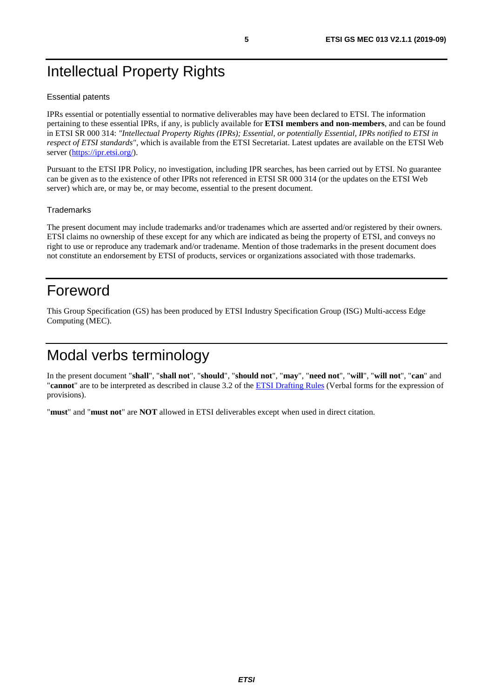## <span id="page-4-0"></span>Intellectual Property Rights

#### Essential patents

IPRs essential or potentially essential to normative deliverables may have been declared to ETSI. The information pertaining to these essential IPRs, if any, is publicly available for **ETSI members and non-members**, and can be found in ETSI SR 000 314: *"Intellectual Property Rights (IPRs); Essential, or potentially Essential, IPRs notified to ETSI in respect of ETSI standards"*, which is available from the ETSI Secretariat. Latest updates are available on the ETSI Web server ([https://ipr.etsi.org/\)](https://ipr.etsi.org/).

Pursuant to the ETSI IPR Policy, no investigation, including IPR searches, has been carried out by ETSI. No guarantee can be given as to the existence of other IPRs not referenced in ETSI SR 000 314 (or the updates on the ETSI Web server) which are, or may be, or may become, essential to the present document.

#### **Trademarks**

The present document may include trademarks and/or tradenames which are asserted and/or registered by their owners. ETSI claims no ownership of these except for any which are indicated as being the property of ETSI, and conveys no right to use or reproduce any trademark and/or tradename. Mention of those trademarks in the present document does not constitute an endorsement by ETSI of products, services or organizations associated with those trademarks.

## Foreword

This Group Specification (GS) has been produced by ETSI Industry Specification Group (ISG) Multi-access Edge Computing (MEC).

## Modal verbs terminology

In the present document "**shall**", "**shall not**", "**should**", "**should not**", "**may**", "**need not**", "**will**", "**will not**", "**can**" and "**cannot**" are to be interpreted as described in clause 3.2 of the [ETSI Drafting Rules](https://portal.etsi.org/Services/editHelp!/Howtostart/ETSIDraftingRules.aspx) (Verbal forms for the expression of provisions).

"**must**" and "**must not**" are **NOT** allowed in ETSI deliverables except when used in direct citation.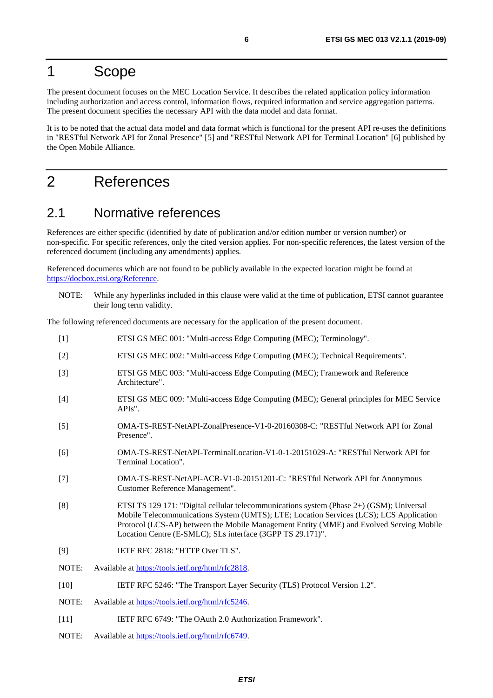## <span id="page-5-0"></span>1 Scope

The present document focuses on the MEC Location Service. It describes the related application policy information including authorization and access control, information flows, required information and service aggregation patterns. The present document specifies the necessary API with the data model and data format.

It is to be noted that the actual data model and data format which is functional for the present API re-uses the definitions in "RESTful Network API for Zonal Presence" [5] and "RESTful Network API for Terminal Location" [6] published by the Open Mobile Alliance.

## 2 References

## 2.1 Normative references

References are either specific (identified by date of publication and/or edition number or version number) or non-specific. For specific references, only the cited version applies. For non-specific references, the latest version of the referenced document (including any amendments) applies.

Referenced documents which are not found to be publicly available in the expected location might be found at [https://docbox.etsi.org/Reference](https://docbox.etsi.org/Reference/).

NOTE: While any hyperlinks included in this clause were valid at the time of publication, ETSI cannot guarantee their long term validity.

The following referenced documents are necessary for the application of the present document.

- [1] ETSI GS MEC 001: "Multi-access Edge Computing (MEC); Terminology". [2] ETSI GS MEC 002: "Multi-access Edge Computing (MEC); Technical Requirements". [3] ETSI GS MEC 003: "Multi-access Edge Computing (MEC); Framework and Reference Architecture". [4] ETSI GS MEC 009: "Multi-access Edge Computing (MEC); General principles for MEC Service APIs". [5] OMA-TS-REST-NetAPI-ZonalPresence-V1-0-20160308-C: "RESTful Network API for Zonal Presence". [6] OMA-TS-REST-NetAPI-TerminalLocation-V1-0-1-20151029-A: "RESTful Network API for Terminal Location". [7] OMA-TS-REST-NetAPI-ACR-V1-0-20151201-C: "RESTful Network API for Anonymous Customer Reference Management". [8] ETSI TS 129 171: "Digital cellular telecommunications system (Phase 2+) (GSM); Universal Mobile Telecommunications System (UMTS); LTE; Location Services (LCS); LCS Application Protocol (LCS-AP) between the Mobile Management Entity (MME) and Evolved Serving Mobile Location Centre (E-SMLC); SLs interface (3GPP TS 29.171)". [9] IETF RFC 2818: "HTTP Over TLS". NOTE: Available at<https://tools.ietf.org/html/rfc2818>. [10] IETF RFC 5246: "The Transport Layer Security (TLS) Protocol Version 1.2". NOTE: Available at<https://tools.ietf.org/html/rfc5246>. [11] IETF RFC 6749: "The OAuth 2.0 Authorization Framework".
- NOTE: Available at<https://tools.ietf.org/html/rfc6749>.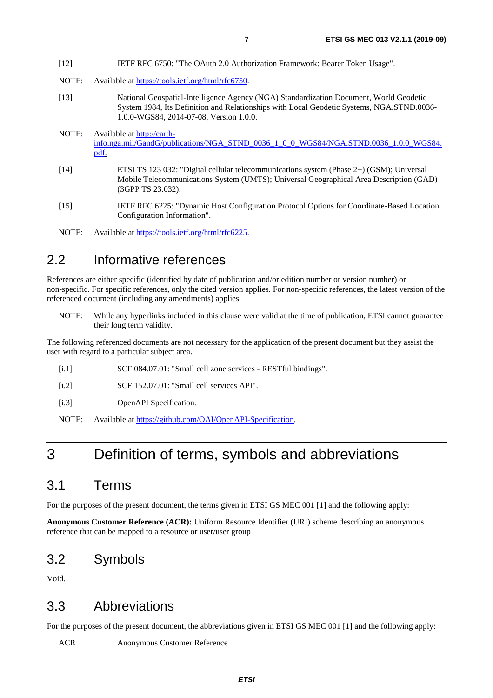- <span id="page-6-0"></span>[12] IETF RFC 6750: "The OAuth 2.0 Authorization Framework: Bearer Token Usage".
- NOTE: Available at<https://tools.ietf.org/html/rfc6750>.
- [13] National Geospatial-Intelligence Agency (NGA) Standardization Document, World Geodetic System 1984, Its Definition and Relationships with Local Geodetic Systems, NGA.STND.0036- 1.0.0-WGS84, 2014-07-08, Version 1.0.0.
- NOTE: Available at [http://earth](http://earth-info.nga.mil/GandG/publications/NGA_STND_0036_1_0_0_WGS84/NGA.STND.0036_1.0.0_WGS84.pdf)[info.nga.mil/GandG/publications/NGA\\_STND\\_0036\\_1\\_0\\_0\\_WGS84/NGA.STND.0036\\_1.0.0\\_WGS84.](http://earth-info.nga.mil/GandG/publications/NGA_STND_0036_1_0_0_WGS84/NGA.STND.0036_1.0.0_WGS84.pdf) [pdf](http://earth-info.nga.mil/GandG/publications/NGA_STND_0036_1_0_0_WGS84/NGA.STND.0036_1.0.0_WGS84.pdf).
- [14] ETSI TS 123 032: "Digital cellular telecommunications system (Phase 2+) (GSM); Universal Mobile Telecommunications System (UMTS); Universal Geographical Area Description (GAD) (3GPP TS 23.032).
- [15] IETF RFC 6225: "Dynamic Host Configuration Protocol Options for Coordinate-Based Location Configuration Information".
- NOTE: Available at<https://tools.ietf.org/html/rfc6225>.

## 2.2 Informative references

References are either specific (identified by date of publication and/or edition number or version number) or non-specific. For specific references, only the cited version applies. For non-specific references, the latest version of the referenced document (including any amendments) applies.

NOTE: While any hyperlinks included in this clause were valid at the time of publication, ETSI cannot guarantee their long term validity.

The following referenced documents are not necessary for the application of the present document but they assist the user with regard to a particular subject area.

- [i.1] SCF 084.07.01: "Small cell zone services RESTful bindings".
- [i.2] SCF 152.07.01: "Small cell services API".
- [i.3] OpenAPI Specification.

NOTE: Available at [https://github.com/OAI/OpenAPI-Specification.](https://github.com/OAI/OpenAPI-Specification)

## 3 Definition of terms, symbols and abbreviations

## 3.1 Terms

For the purposes of the present document, the terms given in ETSI GS MEC 001 [\[1](#page-5-0)] and the following apply:

**Anonymous Customer Reference (ACR):** Uniform Resource Identifier (URI) scheme describing an anonymous reference that can be mapped to a resource or user/user group

## 3.2 Symbols

Void.

## 3.3 Abbreviations

For the purposes of the present document, the abbreviations given in ETSI GS MEC 001 [\[1](#page-5-0)] and the following apply:

ACR Anonymous Customer Reference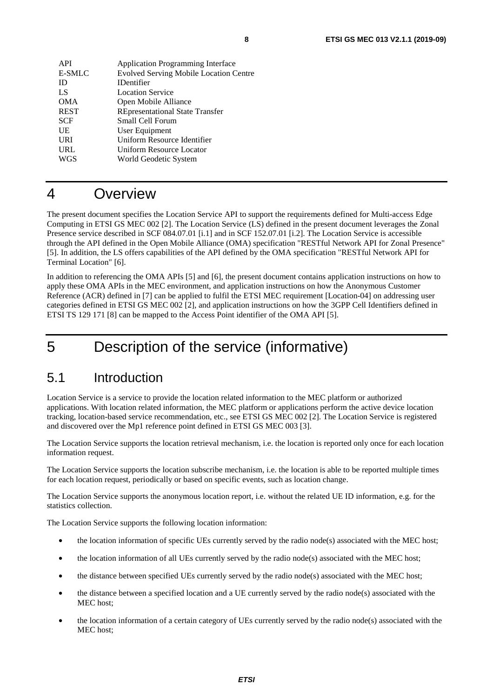<span id="page-7-0"></span>

| <b>API</b>    | <b>Application Programming Interface</b>      |
|---------------|-----------------------------------------------|
| <b>E-SMLC</b> | <b>Evolved Serving Mobile Location Centre</b> |
| ID            | <b>IDentifier</b>                             |
| LS            | <b>Location Service</b>                       |
| <b>OMA</b>    | Open Mobile Alliance                          |
| <b>REST</b>   | <b>REpresentational State Transfer</b>        |
| <b>SCF</b>    | Small Cell Forum                              |
| UE            | User Equipment                                |
| <b>URI</b>    | Uniform Resource Identifier                   |
| URL           | Uniform Resource Locator                      |
| WGS           | World Geodetic System                         |
|               |                                               |

## 4 Overview

The present document specifies the Location Service API to support the requirements defined for Multi-access Edge Computing in ETSI GS MEC 002 [\[2](#page-5-0)]. The Location Service (LS) defined in the present document leverages the Zonal Presence service described in SCF 084.07.01 [\[i.1](#page-6-0)] and in SCF 152.07.01 [\[i.2](#page-6-0)]. The Location Service is accessible through the API defined in the Open Mobile Alliance (OMA) specification "RESTful Network API for Zonal Presence" [[5\]](#page-5-0). In addition, the LS offers capabilities of the API defined by the OMA specification "RESTful Network API for Terminal Location" [\[6](#page-5-0)].

In addition to referencing the OMA APIs [\[5](#page-5-0)] and [[6](#page-5-0)], the present document contains application instructions on how to apply these OMA APIs in the MEC environment, and application instructions on how the Anonymous Customer Reference (ACR) defined in [\[7](#page-5-0)] can be applied to fulfil the ETSI MEC requirement [Location-04] on addressing user categories defined in ETSI GS MEC 002 [\[2](#page-5-0)], and application instructions on how the 3GPP Cell Identifiers defined in ETSI TS 129 171 [[8\]](#page-5-0) can be mapped to the Access Point identifier of the OMA API [[5\]](#page-5-0).

## 5 Description of the service (informative)

## 5.1 Introduction

Location Service is a service to provide the location related information to the MEC platform or authorized applications. With location related information, the MEC platform or applications perform the active device location tracking, location-based service recommendation, etc., see ETSI GS MEC 002 [\[2\]](#page-5-0). The Location Service is registered and discovered over the Mp1 reference point defined in ETSI GS MEC 003 [\[3](#page-5-0)].

The Location Service supports the location retrieval mechanism, i.e. the location is reported only once for each location information request.

The Location Service supports the location subscribe mechanism, i.e. the location is able to be reported multiple times for each location request, periodically or based on specific events, such as location change.

The Location Service supports the anonymous location report, i.e. without the related UE ID information, e.g. for the statistics collection.

The Location Service supports the following location information:

- the location information of specific UEs currently served by the radio node(s) associated with the MEC host;
- the location information of all UEs currently served by the radio node(s) associated with the MEC host;
- the distance between specified UEs currently served by the radio node(s) associated with the MEC host;
- the distance between a specified location and a UE currently served by the radio node(s) associated with the MEC host;
- the location information of a certain category of UEs currently served by the radio node(s) associated with the MEC host;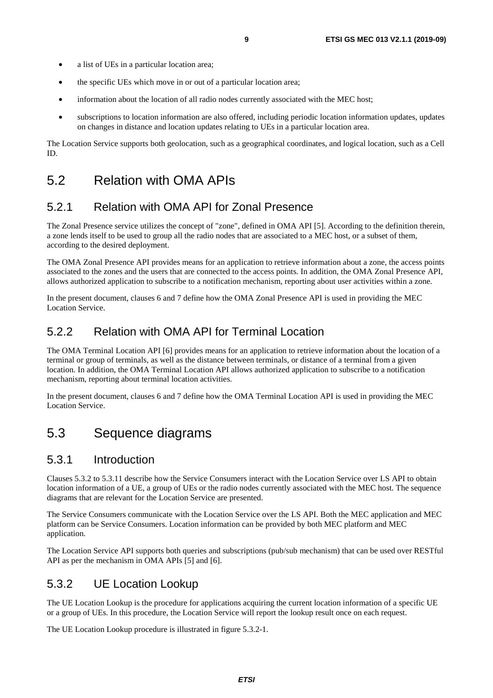- <span id="page-8-0"></span>• a list of UEs in a particular location area;
- the specific UEs which move in or out of a particular location area;
- information about the location of all radio nodes currently associated with the MEC host;
- subscriptions to location information are also offered, including periodic location information updates, updates on changes in distance and location updates relating to UEs in a particular location area.

The Location Service supports both geolocation, such as a geographical coordinates, and logical location, such as a Cell ID.

## 5.2 Relation with OMA APIs

## 5.2.1 Relation with OMA API for Zonal Presence

The Zonal Presence service utilizes the concept of "zone", defined in OMA API [\[5](#page-5-0)]. According to the definition therein, a zone lends itself to be used to group all the radio nodes that are associated to a MEC host, or a subset of them, according to the desired deployment.

The OMA Zonal Presence API provides means for an application to retrieve information about a zone, the access points associated to the zones and the users that are connected to the access points. In addition, the OMA Zonal Presence API, allows authorized application to subscribe to a notification mechanism, reporting about user activities within a zone.

In the present document, clauses 6 and 7 define how the OMA Zonal Presence API is used in providing the MEC Location Service.

### 5.2.2 Relation with OMA API for Terminal Location

The OMA Terminal Location API [\[6](#page-5-0)] provides means for an application to retrieve information about the location of a terminal or group of terminals, as well as the distance between terminals, or distance of a terminal from a given location. In addition, the OMA Terminal Location API allows authorized application to subscribe to a notification mechanism, reporting about terminal location activities.

In the present document, clauses 6 and 7 define how the OMA Terminal Location API is used in providing the MEC Location Service.

## 5.3 Sequence diagrams

### 5.3.1 Introduction

Clauses 5.3.2 to 5.3.11 describe how the Service Consumers interact with the Location Service over LS API to obtain location information of a UE, a group of UEs or the radio nodes currently associated with the MEC host. The sequence diagrams that are relevant for the Location Service are presented.

The Service Consumers communicate with the Location Service over the LS API. Both the MEC application and MEC platform can be Service Consumers. Location information can be provided by both MEC platform and MEC application.

The Location Service API supports both queries and subscriptions (pub/sub mechanism) that can be used over RESTful API as per the mechanism in OMA APIs [[5\]](#page-5-0) and [\[6](#page-5-0)].

### 5.3.2 UE Location Lookup

The UE Location Lookup is the procedure for applications acquiring the current location information of a specific UE or a group of UEs. In this procedure, the Location Service will report the lookup result once on each request.

The UE Location Lookup procedure is illustrated in figure 5.3.2-1.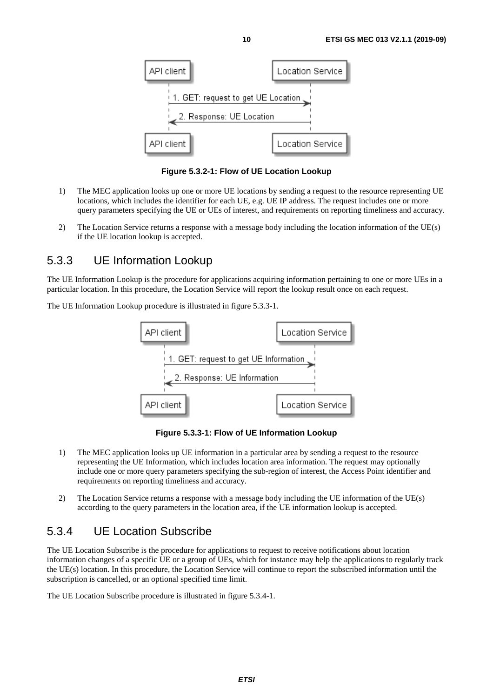<span id="page-9-0"></span>

**Figure 5.3.2-1: Flow of UE Location Lookup** 

- 1) The MEC application looks up one or more UE locations by sending a request to the resource representing UE locations, which includes the identifier for each UE, e.g. UE IP address. The request includes one or more query parameters specifying the UE or UEs of interest, and requirements on reporting timeliness and accuracy.
- 2) The Location Service returns a response with a message body including the location information of the UE(s) if the UE location lookup is accepted.

## 5.3.3 UE Information Lookup

The UE Information Lookup is the procedure for applications acquiring information pertaining to one or more UEs in a particular location. In this procedure, the Location Service will report the lookup result once on each request.

The UE Information Lookup procedure is illustrated in figure 5.3.3-1.



**Figure 5.3.3-1: Flow of UE Information Lookup** 

- 1) The MEC application looks up UE information in a particular area by sending a request to the resource representing the UE Information, which includes location area information. The request may optionally include one or more query parameters specifying the sub-region of interest, the Access Point identifier and requirements on reporting timeliness and accuracy.
- 2) The Location Service returns a response with a message body including the UE information of the UE(s) according to the query parameters in the location area, if the UE information lookup is accepted.

## 5.3.4 UE Location Subscribe

The UE Location Subscribe is the procedure for applications to request to receive notifications about location information changes of a specific UE or a group of UEs, which for instance may help the applications to regularly track the UE(s) location. In this procedure, the Location Service will continue to report the subscribed information until the subscription is cancelled, or an optional specified time limit.

The UE Location Subscribe procedure is illustrated in figure 5.3.4-1.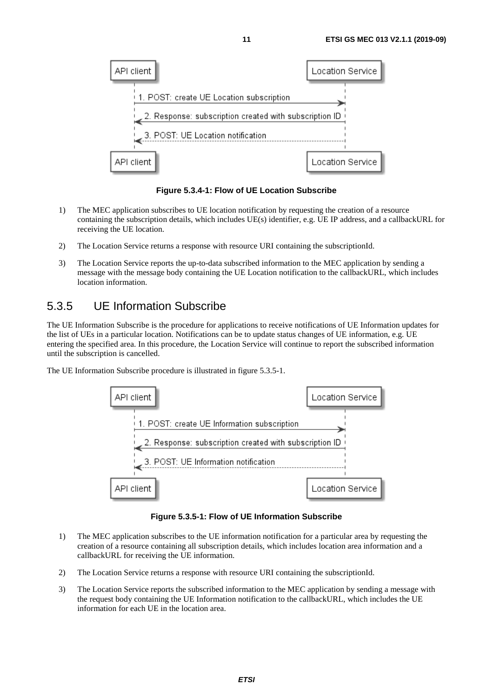<span id="page-10-0"></span>

**Figure 5.3.4-1: Flow of UE Location Subscribe** 

- 1) The MEC application subscribes to UE location notification by requesting the creation of a resource containing the subscription details, which includes UE(s) identifier, e.g. UE IP address, and a callbackURL for receiving the UE location.
- 2) The Location Service returns a response with resource URI containing the subscriptionId.
- 3) The Location Service reports the up-to-data subscribed information to the MEC application by sending a message with the message body containing the UE Location notification to the callbackURL, which includes location information.

## 5.3.5 UE Information Subscribe

The UE Information Subscribe is the procedure for applications to receive notifications of UE Information updates for the list of UEs in a particular location. Notifications can be to update status changes of UE information, e.g. UE entering the specified area. In this procedure, the Location Service will continue to report the subscribed information until the subscription is cancelled.

The UE Information Subscribe procedure is illustrated in figure 5.3.5-1.



#### **Figure 5.3.5-1: Flow of UE Information Subscribe**

- 1) The MEC application subscribes to the UE information notification for a particular area by requesting the creation of a resource containing all subscription details, which includes location area information and a callbackURL for receiving the UE information.
- 2) The Location Service returns a response with resource URI containing the subscriptionId.
- 3) The Location Service reports the subscribed information to the MEC application by sending a message with the request body containing the UE Information notification to the callbackURL, which includes the UE information for each UE in the location area.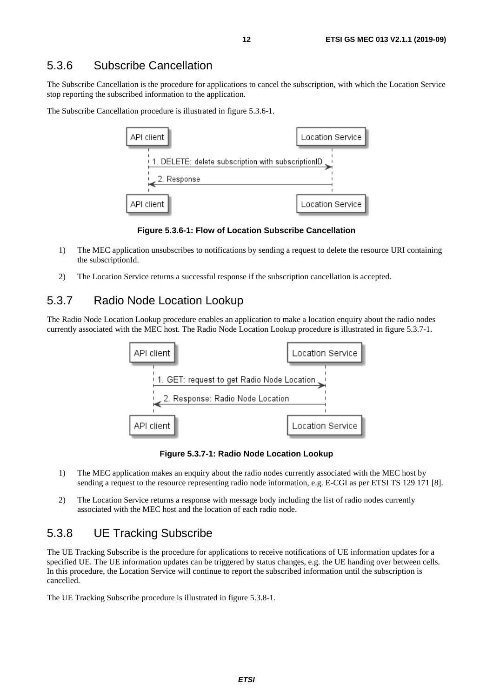## <span id="page-11-0"></span>5.3.6 Subscribe Cancellation

The Subscribe Cancellation is the procedure for applications to cancel the subscription, with which the Location Service stop reporting the subscribed information to the application.

The Subscribe Cancellation procedure is illustrated in figure 5.3.6-1.



**Figure 5.3.6-1: Flow of Location Subscribe Cancellation** 

- 1) The MEC application unsubscribes to notifications by sending a request to delete the resource URI containing the subscriptionId.
- 2) The Location Service returns a successful response if the subscription cancellation is accepted.

## 5.3.7 Radio Node Location Lookup

The Radio Node Location Lookup procedure enables an application to make a location enquiry about the radio nodes currently associated with the MEC host. The Radio Node Location Lookup procedure is illustrated in figure 5.3.7-1.



**Figure 5.3.7-1: Radio Node Location Lookup** 

- 1) The MEC application makes an enquiry about the radio nodes currently associated with the MEC host by sending a request to the resource representing radio node information, e.g. E-CGI as per ETSI TS 129 171 [\[8](#page-5-0)].
- 2) The Location Service returns a response with message body including the list of radio nodes currently associated with the MEC host and the location of each radio node.

## 5.3.8 UE Tracking Subscribe

The UE Tracking Subscribe is the procedure for applications to receive notifications of UE information updates for a specified UE. The UE information updates can be triggered by status changes, e.g. the UE handing over between cells. In this procedure, the Location Service will continue to report the subscribed information until the subscription is cancelled.

The UE Tracking Subscribe procedure is illustrated in figure 5.3.8-1.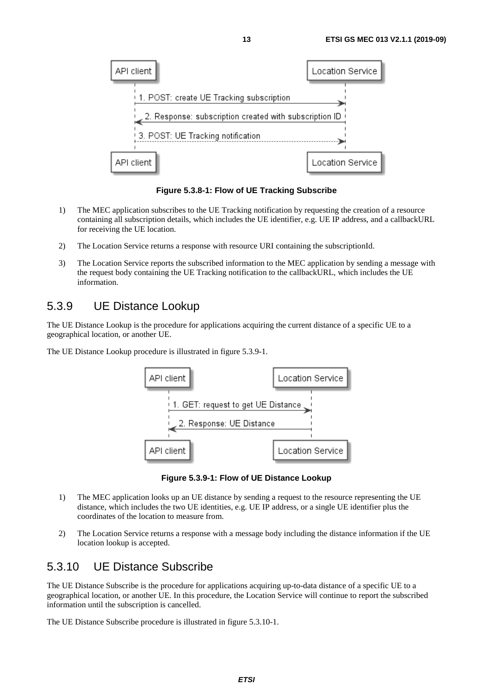<span id="page-12-0"></span>

**Figure 5.3.8-1: Flow of UE Tracking Subscribe** 

- 1) The MEC application subscribes to the UE Tracking notification by requesting the creation of a resource containing all subscription details, which includes the UE identifier, e.g. UE IP address, and a callbackURL for receiving the UE location.
- 2) The Location Service returns a response with resource URI containing the subscriptionId.
- 3) The Location Service reports the subscribed information to the MEC application by sending a message with the request body containing the UE Tracking notification to the callbackURL, which includes the UE information.

## 5.3.9 UE Distance Lookup

The UE Distance Lookup is the procedure for applications acquiring the current distance of a specific UE to a geographical location, or another UE.

The UE Distance Lookup procedure is illustrated in figure 5.3.9-1.



**Figure 5.3.9-1: Flow of UE Distance Lookup** 

- 1) The MEC application looks up an UE distance by sending a request to the resource representing the UE distance, which includes the two UE identities, e.g. UE IP address, or a single UE identifier plus the coordinates of the location to measure from.
- 2) The Location Service returns a response with a message body including the distance information if the UE location lookup is accepted.

## 5.3.10 UE Distance Subscribe

The UE Distance Subscribe is the procedure for applications acquiring up-to-data distance of a specific UE to a geographical location, or another UE. In this procedure, the Location Service will continue to report the subscribed information until the subscription is cancelled.

The UE Distance Subscribe procedure is illustrated in figure 5.3.10-1.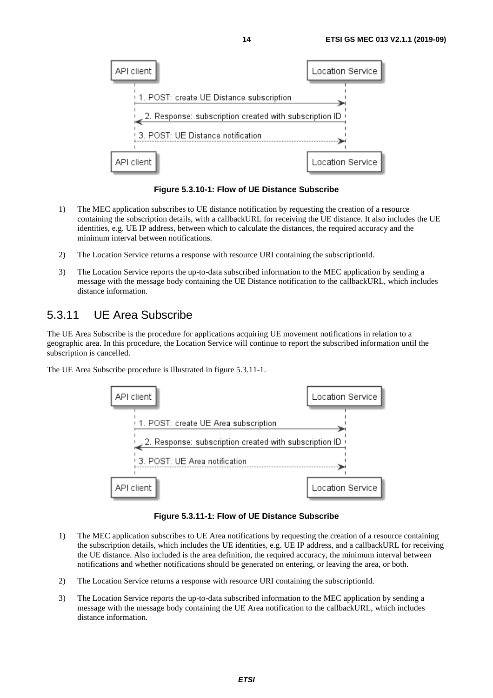<span id="page-13-0"></span>

**Figure 5.3.10-1: Flow of UE Distance Subscribe** 

- 1) The MEC application subscribes to UE distance notification by requesting the creation of a resource containing the subscription details, with a callbackURL for receiving the UE distance. It also includes the UE identities, e.g. UE IP address, between which to calculate the distances, the required accuracy and the minimum interval between notifications.
- 2) The Location Service returns a response with resource URI containing the subscriptionId.
- 3) The Location Service reports the up-to-data subscribed information to the MEC application by sending a message with the message body containing the UE Distance notification to the callbackURL, which includes distance information.

## 5.3.11 UE Area Subscribe

The UE Area Subscribe is the procedure for applications acquiring UE movement notifications in relation to a geographic area. In this procedure, the Location Service will continue to report the subscribed information until the subscription is cancelled.

The UE Area Subscribe procedure is illustrated in figure 5.3.11-1.



**Figure 5.3.11-1: Flow of UE Distance Subscribe** 

- 1) The MEC application subscribes to UE Area notifications by requesting the creation of a resource containing the subscription details, which includes the UE identities, e.g. UE IP address, and a callbackURL for receiving the UE distance. Also included is the area definition, the required accuracy, the minimum interval between notifications and whether notifications should be generated on entering, or leaving the area, or both.
- 2) The Location Service returns a response with resource URI containing the subscriptionId.
- 3) The Location Service reports the up-to-data subscribed information to the MEC application by sending a message with the message body containing the UE Area notification to the callbackURL, which includes distance information.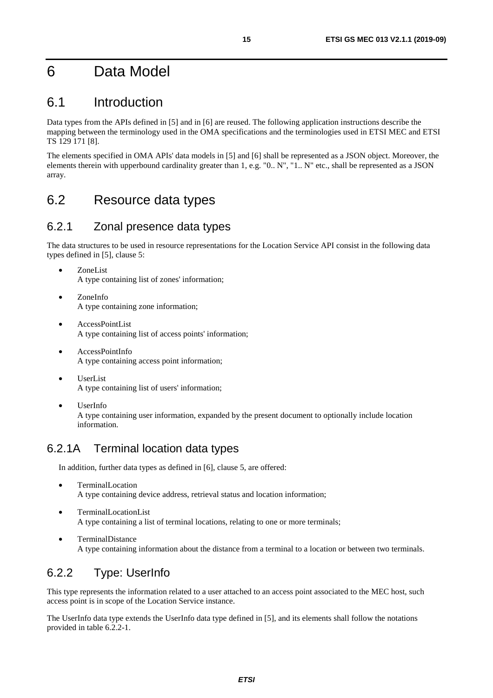## <span id="page-14-0"></span>6 Data Model

## 6.1 Introduction

Data types from the APIs defined in [[5\]](#page-5-0) and in [\[6](#page-5-0)] are reused. The following application instructions describe the mapping between the terminology used in the OMA specifications and the terminologies used in ETSI MEC and ETSI TS 129 171 [\[8](#page-5-0)].

The elements specified in OMA APIs' data models in [[5\]](#page-5-0) and [[6](#page-5-0)] shall be represented as a JSON object. Moreover, the elements therein with upperbound cardinality greater than 1, e.g. "0.. N", "1.. N" etc., shall be represented as a JSON array.

## 6.2 Resource data types

## 6.2.1 Zonal presence data types

The data structures to be used in resource representations for the Location Service API consist in the following data types defined in [\[5](#page-5-0)], clause 5:

- ZoneList A type containing list of zones' information;
- ZoneInfo A type containing zone information;
- AccessPointList A type containing list of access points' information;
- AccessPointInfo A type containing access point information;
- UserList A type containing list of users' information;
- UserInfo A type containing user information, expanded by the present document to optionally include location information.

## 6.2.1A Terminal location data types

In addition, further data types as defined in [[6\]](#page-5-0), clause 5, are offered:

- TerminalLocation A type containing device address, retrieval status and location information;
- TerminalLocationList A type containing a list of terminal locations, relating to one or more terminals;
- TerminalDistance A type containing information about the distance from a terminal to a location or between two terminals.

## 6.2.2 Type: UserInfo

This type represents the information related to a user attached to an access point associated to the MEC host, such access point is in scope of the Location Service instance.

The UserInfo data type extends the UserInfo data type defined in [\[5](#page-5-0)], and its elements shall follow the notations provided in table 6.2.2-1.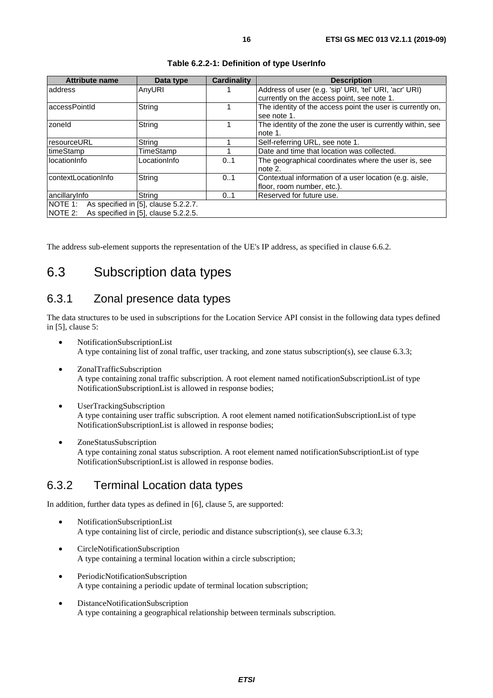<span id="page-15-0"></span>

| <b>Attribute name</b>                           | Data type    | <b>Cardinality</b> | <b>Description</b>                                         |  |  |
|-------------------------------------------------|--------------|--------------------|------------------------------------------------------------|--|--|
| address                                         | AnyURI       |                    | Address of user (e.g. 'sip' URI, 'tel' URI, 'acr' URI)     |  |  |
|                                                 |              |                    | currently on the access point, see note 1.                 |  |  |
| accessPointId                                   | String       |                    | The identity of the access point the user is currently on, |  |  |
|                                                 |              |                    | see note 1.                                                |  |  |
| zoneld                                          | String       |                    | The identity of the zone the user is currently within, see |  |  |
|                                                 |              |                    | note 1.                                                    |  |  |
| resourceURL                                     | String       |                    | Self-referring URL, see note 1.                            |  |  |
| timeStamp                                       | TimeStamp    |                    | Date and time that location was collected.                 |  |  |
| locationInfo                                    | LocationInfo | 01                 | The geographical coordinates where the user is, see        |  |  |
|                                                 |              |                    | note 2.                                                    |  |  |
| contextLocationInfo                             | String       | 01                 | Contextual information of a user location (e.g. aisle,     |  |  |
|                                                 |              |                    | floor, room number, etc.).                                 |  |  |
| ancillaryInfo                                   | String       | 01                 | Reserved for future use.                                   |  |  |
| NOTE 1:<br>As specified in [5], clause 5.2.2.7. |              |                    |                                                            |  |  |
| NOTE 2:<br>As specified in [5], clause 5.2.2.5. |              |                    |                                                            |  |  |

| Table 6.2.2-1: Definition of type UserInfo |  |  |  |
|--------------------------------------------|--|--|--|
|--------------------------------------------|--|--|--|

The address sub-element supports the representation of the UE's IP address, as specified in clause 6.6.2.

## 6.3 Subscription data types

## 6.3.1 Zonal presence data types

The data structures to be used in subscriptions for the Location Service API consist in the following data types defined in [\[5](#page-5-0)], clause 5:

- NotificationSubscriptionList A type containing list of zonal traffic, user tracking, and zone status subscription(s), see clause 6.3.3;
- ZonalTrafficSubscription A type containing zonal traffic subscription. A root element named notificationSubscriptionList of type NotificationSubscriptionList is allowed in response bodies;
- UserTrackingSubscription A type containing user traffic subscription. A root element named notificationSubscriptionList of type NotificationSubscriptionList is allowed in response bodies;
- ZoneStatusSubscription A type containing zonal status subscription. A root element named notificationSubscriptionList of type NotificationSubscriptionList is allowed in response bodies.

## 6.3.2 Terminal Location data types

In addition, further data types as defined in [\[6\]](#page-5-0), clause 5, are supported:

- NotificationSubscriptionList A type containing list of circle, periodic and distance subscription(s), see clause 6.3.3;
- CircleNotificationSubscription A type containing a terminal location within a circle subscription;
- PeriodicNotificationSubscription A type containing a periodic update of terminal location subscription;
- DistanceNotificationSubscription A type containing a geographical relationship between terminals subscription.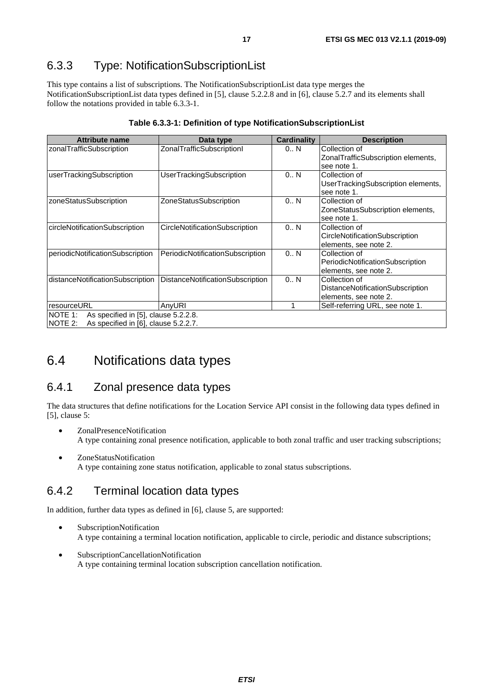## <span id="page-16-0"></span>6.3.3 Type: NotificationSubscriptionList

This type contains a list of subscriptions. The NotificationSubscriptionList data type merges the NotificationSubscriptionList data types defined in [\[5](#page-5-0)], clause 5.2.2.8 and in [[6\]](#page-5-0), clause 5.2.7 and its elements shall follow the notations provided in table 6.3.3-1.

| <b>Attribute name</b>                                  | Data type                        | <b>Cardinality</b> | <b>Description</b>                 |
|--------------------------------------------------------|----------------------------------|--------------------|------------------------------------|
| zonalTrafficSubscription                               | ZonalTrafficSubscriptionl        | 0N                 | Collection of                      |
|                                                        |                                  |                    | ZonalTrafficSubscription elements, |
|                                                        |                                  |                    | see note 1.                        |
| userTrackingSubscription                               | UserTrackingSubscription         | 0N                 | Collection of                      |
|                                                        |                                  |                    | UserTrackingSubscription elements, |
|                                                        |                                  |                    | see note 1.                        |
| zoneStatusSubscription                                 | ZoneStatusSubscription           | 0N                 | Collection of                      |
|                                                        |                                  |                    | ZoneStatusSubscription elements,   |
|                                                        |                                  |                    | see note 1.                        |
| circleNotificationSubscription                         | CircleNotificationSubscription   | 0N                 | Collection of                      |
|                                                        |                                  |                    | CircleNotificationSubscription     |
|                                                        |                                  |                    | elements, see note 2.              |
| periodicNotificationSubscription                       | PeriodicNotificationSubscription | 0N                 | Collection of                      |
|                                                        |                                  |                    | PeriodicNotificationSubscription   |
|                                                        |                                  |                    | elements, see note 2.              |
| distanceNotificationSubscription                       | DistanceNotificationSubscription | 0N                 | Collection of                      |
|                                                        |                                  |                    | Distance Notification Subscription |
|                                                        |                                  |                    | elements, see note 2.              |
| resourceURL                                            | AnyURI                           | 1                  | Self-referring URL, see note 1.    |
| NOTE 1:<br>As specified in [5], clause 5.2.2.8.        |                                  |                    |                                    |
| <b>NOTE 2:</b><br>As specified in [6], clause 5.2.2.7. |                                  |                    |                                    |

### **Table 6.3.3-1: Definition of type NotificationSubscriptionList**

## 6.4 Notifications data types

## 6.4.1 Zonal presence data types

The data structures that define notifications for the Location Service API consist in the following data types defined in [[5\]](#page-5-0), clause 5:

- ZonalPresenceNotification A type containing zonal presence notification, applicable to both zonal traffic and user tracking subscriptions;
- ZoneStatusNotification A type containing zone status notification, applicable to zonal status subscriptions.

## 6.4.2 Terminal location data types

In addition, further data types as defined in [\[6\]](#page-5-0), clause 5, are supported:

- SubscriptionNotification A type containing a terminal location notification, applicable to circle, periodic and distance subscriptions;
- SubscriptionCancellationNotification A type containing terminal location subscription cancellation notification.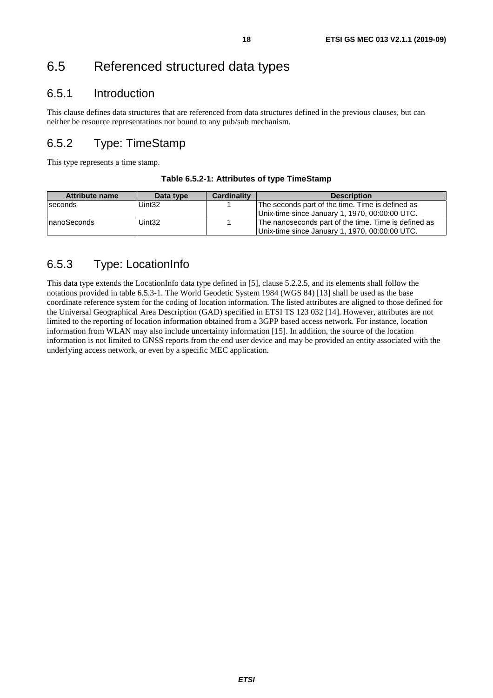## <span id="page-17-0"></span>6.5.1 Introduction

This clause defines data structures that are referenced from data structures defined in the previous clauses, but can neither be resource representations nor bound to any pub/sub mechanism.

## 6.5.2 Type: TimeStamp

This type represents a time stamp.

| Table 6.5.2-1: Attributes of type TimeStamp |  |
|---------------------------------------------|--|
|                                             |  |

| Attribute name | Data type          | <b>Cardinality</b> | <b>Description</b>                                   |
|----------------|--------------------|--------------------|------------------------------------------------------|
| seconds        | Uint <sub>32</sub> |                    | The seconds part of the time. Time is defined as     |
|                |                    |                    | Unix-time since January 1, 1970, 00:00:00 UTC.       |
| InanoSeconds   | Uint <sub>32</sub> |                    | The nanoseconds part of the time. Time is defined as |
|                |                    |                    | Unix-time since January 1, 1970, 00:00:00 UTC.       |

## 6.5.3 Type: LocationInfo

This data type extends the LocationInfo data type defined in [\[5](#page-5-0)], clause 5.2.2.5, and its elements shall follow the notations provided in table 6.5.3-1. The World Geodetic System 1984 (WGS 84) [\[13\]](#page-6-0) shall be used as the base coordinate reference system for the coding of location information. The listed attributes are aligned to those defined for the Universal Geographical Area Description (GAD) specified in ETSI TS 123 032 [[14\]](#page-6-0). However, attributes are not limited to the reporting of location information obtained from a 3GPP based access network. For instance, location information from WLAN may also include uncertainty information [[15](#page-6-0)]. In addition, the source of the location information is not limited to GNSS reports from the end user device and may be provided an entity associated with the underlying access network, or even by a specific MEC application.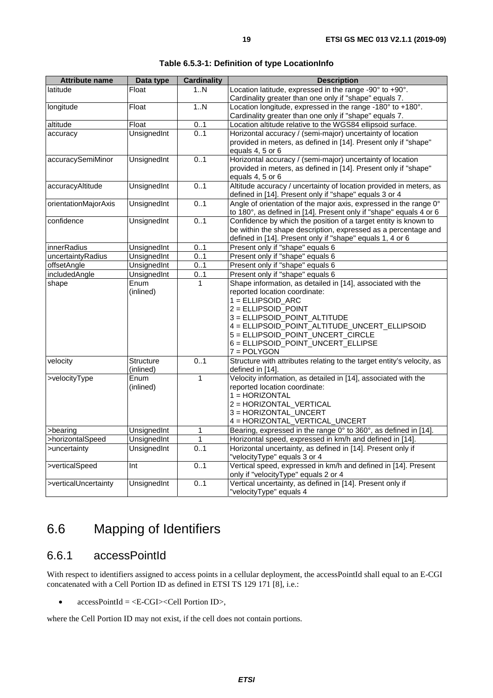<span id="page-18-0"></span>

| latitude<br>Float<br>1N<br>Cardinality greater than one only if "shape" equals 7.<br>Location longitude, expressed in the range -180° to +180°.<br>longitude<br>1N<br>Float<br>Cardinality greater than one only if "shape" equals 7.<br>Location altitude relative to the WGS84 ellipsoid surface.<br>altitude<br>Float<br>01<br>UnsignedInt<br>0.1<br>Horizontal accuracy / (semi-major) uncertainty of location<br>accuracy<br>provided in meters, as defined in [14]. Present only if "shape"<br>equals 4, 5 or 6<br>0.1<br>Horizontal accuracy / (semi-major) uncertainty of location<br>accuracySemiMinor<br>UnsignedInt<br>provided in meters, as defined in [14]. Present only if "shape"<br>equals 4, 5 or 6<br>accuracyAltitude<br>UnsignedInt<br>0.1<br>defined in [14]. Present only if "shape" equals 3 or 4<br>Angle of orientation of the major axis, expressed in the range 0°<br>UnsignedInt<br>0.1<br>orientationMajorAxis<br><b>UnsignedInt</b><br>0.1<br>Confidence by which the position of a target entity is known to<br>confidence<br>defined in [14]. Present only if "shape" equals 1, 4 or 6<br>Present only if "shape" equals 6<br>0.1<br>innerRadius<br>UnsignedInt<br>uncertaintyRadius<br>UnsignedInt<br>01<br>Present only if "shape" equals 6<br>UnsignedInt<br>Present only if "shape" equals 6<br>offsetAngle<br>0.1<br>includedAngle<br>UnsignedInt<br>0.1<br>Present only if "shape" equals 6<br>Shape information, as detailed in [14], associated with the<br>shape<br>Enum<br>1<br>(inlined)<br>reported location coordinate:<br>$1 = ELLIPSOID_ARC$<br>2 = ELLIPSOID POINT<br>3 = ELLIPSOID_POINT_ALTITUDE<br>4 = ELLIPSOID_POINT_ALTITUDE_UNCERT_ELLIPSOID<br>5 = ELLIPSOID_POINT_UNCERT_CIRCLE<br>6 = ELLIPSOID_POINT_UNCERT_ELLIPSE<br>7 = POLYGON<br>Structure with attributes relating to the target entity's velocity, as<br>01<br>velocity<br><b>Structure</b><br>(inlined)<br>defined in [14].<br>Velocity information, as detailed in [14], associated with the<br>>velocityType<br>Enum<br>1<br>reported location coordinate:<br>(inlined)<br>1 = HORIZONTAL<br>2 = HORIZONTAL_VERTICAL<br>3 = HORIZONTAL_UNCERT<br>4 = HORIZONTAL_VERTICAL_UNCERT<br>Bearing, expressed in the range 0° to 360°, as defined in [14].<br>UnsignedInt<br>$\mathbf{1}$<br>>bearing<br>>horizontalSpeed<br>UnsignedInt<br>$\mathbf{1}$<br>Horizontal speed, expressed in km/h and defined in [14].<br>Horizontal uncertainty, as defined in [14]. Present only if<br>01<br>UnsignedInt<br>>uncertainty<br>"velocityType" equals 3 or 4<br>0.1<br>>verticalSpeed<br>Int<br>only if "velocityType" equals 2 or 4<br>Vertical uncertainty, as defined in [14]. Present only if<br>>verticalUncertainty<br>UnsignedInt<br>0.1 | <b>Attribute name</b> | Data type | <b>Cardinality</b> | <b>Description</b>                                                 |
|-----------------------------------------------------------------------------------------------------------------------------------------------------------------------------------------------------------------------------------------------------------------------------------------------------------------------------------------------------------------------------------------------------------------------------------------------------------------------------------------------------------------------------------------------------------------------------------------------------------------------------------------------------------------------------------------------------------------------------------------------------------------------------------------------------------------------------------------------------------------------------------------------------------------------------------------------------------------------------------------------------------------------------------------------------------------------------------------------------------------------------------------------------------------------------------------------------------------------------------------------------------------------------------------------------------------------------------------------------------------------------------------------------------------------------------------------------------------------------------------------------------------------------------------------------------------------------------------------------------------------------------------------------------------------------------------------------------------------------------------------------------------------------------------------------------------------------------------------------------------------------------------------------------------------------------------------------------------------------------------------------------------------------------------------------------------------------------------------------------------------------------------------------------------------------------------------------------------------------------------------------------------------------------------------------------------------------------------------------------------------------------------------------------------------------------------------------------------------------------------------------------------------------------------------------------------------------------------------------------------------------------------------------------------------------------------------------------------------------------------------------------|-----------------------|-----------|--------------------|--------------------------------------------------------------------|
|                                                                                                                                                                                                                                                                                                                                                                                                                                                                                                                                                                                                                                                                                                                                                                                                                                                                                                                                                                                                                                                                                                                                                                                                                                                                                                                                                                                                                                                                                                                                                                                                                                                                                                                                                                                                                                                                                                                                                                                                                                                                                                                                                                                                                                                                                                                                                                                                                                                                                                                                                                                                                                                                                                                                                           |                       |           |                    | Location latitude, expressed in the range -90° to +90°.            |
|                                                                                                                                                                                                                                                                                                                                                                                                                                                                                                                                                                                                                                                                                                                                                                                                                                                                                                                                                                                                                                                                                                                                                                                                                                                                                                                                                                                                                                                                                                                                                                                                                                                                                                                                                                                                                                                                                                                                                                                                                                                                                                                                                                                                                                                                                                                                                                                                                                                                                                                                                                                                                                                                                                                                                           |                       |           |                    |                                                                    |
|                                                                                                                                                                                                                                                                                                                                                                                                                                                                                                                                                                                                                                                                                                                                                                                                                                                                                                                                                                                                                                                                                                                                                                                                                                                                                                                                                                                                                                                                                                                                                                                                                                                                                                                                                                                                                                                                                                                                                                                                                                                                                                                                                                                                                                                                                                                                                                                                                                                                                                                                                                                                                                                                                                                                                           |                       |           |                    |                                                                    |
|                                                                                                                                                                                                                                                                                                                                                                                                                                                                                                                                                                                                                                                                                                                                                                                                                                                                                                                                                                                                                                                                                                                                                                                                                                                                                                                                                                                                                                                                                                                                                                                                                                                                                                                                                                                                                                                                                                                                                                                                                                                                                                                                                                                                                                                                                                                                                                                                                                                                                                                                                                                                                                                                                                                                                           |                       |           |                    |                                                                    |
|                                                                                                                                                                                                                                                                                                                                                                                                                                                                                                                                                                                                                                                                                                                                                                                                                                                                                                                                                                                                                                                                                                                                                                                                                                                                                                                                                                                                                                                                                                                                                                                                                                                                                                                                                                                                                                                                                                                                                                                                                                                                                                                                                                                                                                                                                                                                                                                                                                                                                                                                                                                                                                                                                                                                                           |                       |           |                    |                                                                    |
|                                                                                                                                                                                                                                                                                                                                                                                                                                                                                                                                                                                                                                                                                                                                                                                                                                                                                                                                                                                                                                                                                                                                                                                                                                                                                                                                                                                                                                                                                                                                                                                                                                                                                                                                                                                                                                                                                                                                                                                                                                                                                                                                                                                                                                                                                                                                                                                                                                                                                                                                                                                                                                                                                                                                                           |                       |           |                    | Altitude accuracy / uncertainty of location provided in meters, as |
|                                                                                                                                                                                                                                                                                                                                                                                                                                                                                                                                                                                                                                                                                                                                                                                                                                                                                                                                                                                                                                                                                                                                                                                                                                                                                                                                                                                                                                                                                                                                                                                                                                                                                                                                                                                                                                                                                                                                                                                                                                                                                                                                                                                                                                                                                                                                                                                                                                                                                                                                                                                                                                                                                                                                                           |                       |           |                    | to 180°, as defined in [14]. Present only if "shape" equals 4 or 6 |
|                                                                                                                                                                                                                                                                                                                                                                                                                                                                                                                                                                                                                                                                                                                                                                                                                                                                                                                                                                                                                                                                                                                                                                                                                                                                                                                                                                                                                                                                                                                                                                                                                                                                                                                                                                                                                                                                                                                                                                                                                                                                                                                                                                                                                                                                                                                                                                                                                                                                                                                                                                                                                                                                                                                                                           |                       |           |                    | be within the shape description, expressed as a percentage and     |
|                                                                                                                                                                                                                                                                                                                                                                                                                                                                                                                                                                                                                                                                                                                                                                                                                                                                                                                                                                                                                                                                                                                                                                                                                                                                                                                                                                                                                                                                                                                                                                                                                                                                                                                                                                                                                                                                                                                                                                                                                                                                                                                                                                                                                                                                                                                                                                                                                                                                                                                                                                                                                                                                                                                                                           |                       |           |                    |                                                                    |
|                                                                                                                                                                                                                                                                                                                                                                                                                                                                                                                                                                                                                                                                                                                                                                                                                                                                                                                                                                                                                                                                                                                                                                                                                                                                                                                                                                                                                                                                                                                                                                                                                                                                                                                                                                                                                                                                                                                                                                                                                                                                                                                                                                                                                                                                                                                                                                                                                                                                                                                                                                                                                                                                                                                                                           |                       |           |                    |                                                                    |
|                                                                                                                                                                                                                                                                                                                                                                                                                                                                                                                                                                                                                                                                                                                                                                                                                                                                                                                                                                                                                                                                                                                                                                                                                                                                                                                                                                                                                                                                                                                                                                                                                                                                                                                                                                                                                                                                                                                                                                                                                                                                                                                                                                                                                                                                                                                                                                                                                                                                                                                                                                                                                                                                                                                                                           |                       |           |                    |                                                                    |
|                                                                                                                                                                                                                                                                                                                                                                                                                                                                                                                                                                                                                                                                                                                                                                                                                                                                                                                                                                                                                                                                                                                                                                                                                                                                                                                                                                                                                                                                                                                                                                                                                                                                                                                                                                                                                                                                                                                                                                                                                                                                                                                                                                                                                                                                                                                                                                                                                                                                                                                                                                                                                                                                                                                                                           |                       |           |                    |                                                                    |
|                                                                                                                                                                                                                                                                                                                                                                                                                                                                                                                                                                                                                                                                                                                                                                                                                                                                                                                                                                                                                                                                                                                                                                                                                                                                                                                                                                                                                                                                                                                                                                                                                                                                                                                                                                                                                                                                                                                                                                                                                                                                                                                                                                                                                                                                                                                                                                                                                                                                                                                                                                                                                                                                                                                                                           |                       |           |                    |                                                                    |
|                                                                                                                                                                                                                                                                                                                                                                                                                                                                                                                                                                                                                                                                                                                                                                                                                                                                                                                                                                                                                                                                                                                                                                                                                                                                                                                                                                                                                                                                                                                                                                                                                                                                                                                                                                                                                                                                                                                                                                                                                                                                                                                                                                                                                                                                                                                                                                                                                                                                                                                                                                                                                                                                                                                                                           |                       |           |                    |                                                                    |
|                                                                                                                                                                                                                                                                                                                                                                                                                                                                                                                                                                                                                                                                                                                                                                                                                                                                                                                                                                                                                                                                                                                                                                                                                                                                                                                                                                                                                                                                                                                                                                                                                                                                                                                                                                                                                                                                                                                                                                                                                                                                                                                                                                                                                                                                                                                                                                                                                                                                                                                                                                                                                                                                                                                                                           |                       |           |                    |                                                                    |
|                                                                                                                                                                                                                                                                                                                                                                                                                                                                                                                                                                                                                                                                                                                                                                                                                                                                                                                                                                                                                                                                                                                                                                                                                                                                                                                                                                                                                                                                                                                                                                                                                                                                                                                                                                                                                                                                                                                                                                                                                                                                                                                                                                                                                                                                                                                                                                                                                                                                                                                                                                                                                                                                                                                                                           |                       |           |                    |                                                                    |
|                                                                                                                                                                                                                                                                                                                                                                                                                                                                                                                                                                                                                                                                                                                                                                                                                                                                                                                                                                                                                                                                                                                                                                                                                                                                                                                                                                                                                                                                                                                                                                                                                                                                                                                                                                                                                                                                                                                                                                                                                                                                                                                                                                                                                                                                                                                                                                                                                                                                                                                                                                                                                                                                                                                                                           |                       |           |                    |                                                                    |
|                                                                                                                                                                                                                                                                                                                                                                                                                                                                                                                                                                                                                                                                                                                                                                                                                                                                                                                                                                                                                                                                                                                                                                                                                                                                                                                                                                                                                                                                                                                                                                                                                                                                                                                                                                                                                                                                                                                                                                                                                                                                                                                                                                                                                                                                                                                                                                                                                                                                                                                                                                                                                                                                                                                                                           |                       |           |                    |                                                                    |
|                                                                                                                                                                                                                                                                                                                                                                                                                                                                                                                                                                                                                                                                                                                                                                                                                                                                                                                                                                                                                                                                                                                                                                                                                                                                                                                                                                                                                                                                                                                                                                                                                                                                                                                                                                                                                                                                                                                                                                                                                                                                                                                                                                                                                                                                                                                                                                                                                                                                                                                                                                                                                                                                                                                                                           |                       |           |                    | Vertical speed, expressed in km/h and defined in [14]. Present     |
|                                                                                                                                                                                                                                                                                                                                                                                                                                                                                                                                                                                                                                                                                                                                                                                                                                                                                                                                                                                                                                                                                                                                                                                                                                                                                                                                                                                                                                                                                                                                                                                                                                                                                                                                                                                                                                                                                                                                                                                                                                                                                                                                                                                                                                                                                                                                                                                                                                                                                                                                                                                                                                                                                                                                                           |                       |           |                    | "velocityType" equals 4                                            |

**Table 6.5.3-1: Definition of type LocationInfo** 

## 6.6 Mapping of Identifiers

## 6.6.1 accessPointId

With respect to identifiers assigned to access points in a cellular deployment, the accessPointId shall equal to an E-CGI concatenated with a Cell Portion ID as defined in ETSI TS 129 171 [\[8](#page-5-0)], i.e.:

•  $\text{accessPointId} = \langle E\text{-CGI} \rangle \langle \text{Cell} \rangle$  Portion ID>,

where the Cell Portion ID may not exist, if the cell does not contain portions.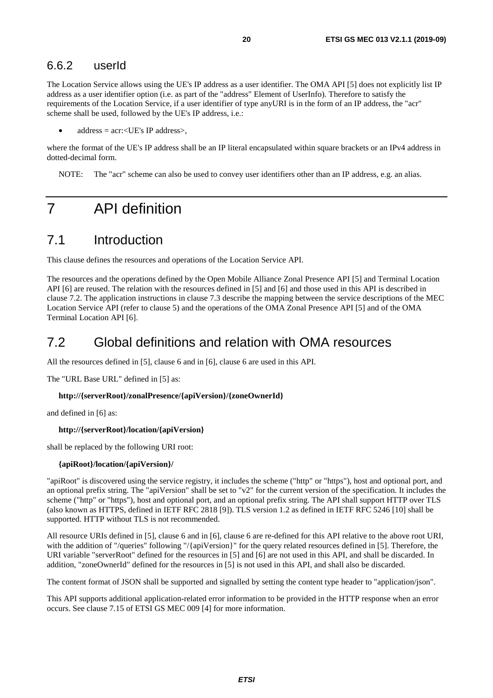### <span id="page-19-0"></span>6.6.2 userId

The Location Service allows using the UE's IP address as a user identifier. The OMA API [\[5](#page-5-0)] does not explicitly list IP address as a user identifier option (i.e. as part of the "address" Element of UserInfo). Therefore to satisfy the requirements of the Location Service, if a user identifier of type anyURI is in the form of an IP address, the "acr" scheme shall be used, followed by the UE's IP address, i.e.:

 $address = acr: < UE's IP address$ .

where the format of the UE's IP address shall be an IP literal encapsulated within square brackets or an IPv4 address in dotted-decimal form.

NOTE: The "acr" scheme can also be used to convey user identifiers other than an IP address, e.g. an alias.

## 7 API definition

## 7.1 Introduction

This clause defines the resources and operations of the Location Service API.

The resources and the operations defined by the Open Mobile Alliance Zonal Presence API [\[5](#page-5-0)] and Terminal Location API [[6](#page-5-0)] are reused. The relation with the resources defined in [\[5](#page-5-0)] and [[6](#page-5-0)] and those used in this API is described in clause 7.2. The application instructions in clause 7.3 describe the mapping between the service descriptions of the MEC Location Service API (refer to clause 5) and the operations of the OMA Zonal Presence API [\[5](#page-5-0)] and of the OMA Terminal Location API [[6\]](#page-5-0).

## 7.2 Global definitions and relation with OMA resources

All the resources defined in [[5\]](#page-5-0), clause 6 and in [[6\]](#page-5-0), clause 6 are used in this API.

The "URL Base URL" defined in [[5](#page-5-0)] as:

#### **http://{serverRoot}/zonalPresence/{apiVersion}/{zoneOwnerId}**

and defined in [\[6\]](#page-5-0) as:

#### **http://{serverRoot}/location/{apiVersion}**

shall be replaced by the following URI root:

#### **{apiRoot}/location/{apiVersion}/**

"apiRoot" is discovered using the service registry, it includes the scheme ("http" or "https"), host and optional port, and an optional prefix string. The "apiVersion" shall be set to "v2" for the current version of the specification. It includes the scheme ("http" or "https"), host and optional port, and an optional prefix string. The API shall support HTTP over TLS (also known as HTTPS, defined in IETF RFC 2818 [\[9](#page-5-0)]). TLS version 1.2 as defined in IETF RFC 5246 [[10](#page-5-0)] shall be supported. HTTP without TLS is not recommended.

All resource URIs defined in [[5\]](#page-5-0), clause 6 and in [[6\]](#page-5-0), clause 6 are re-defined for this API relative to the above root URI, with the addition of "/queries" following "/{apiVersion}" for the query related resources defined in [\[5](#page-5-0)]. Therefore, the URI variable "serverRoot" defined for the resources in [[5\]](#page-5-0) and [[6](#page-5-0)] are not used in this API, and shall be discarded. In addition, "zoneOwnerId" defined for the resources in [[5](#page-5-0)] is not used in this API, and shall also be discarded.

The content format of JSON shall be supported and signalled by setting the content type header to "application/json".

This API supports additional application-related error information to be provided in the HTTP response when an error occurs. See clause 7.15 of ETSI GS MEC 009 [[4\]](#page-5-0) for more information.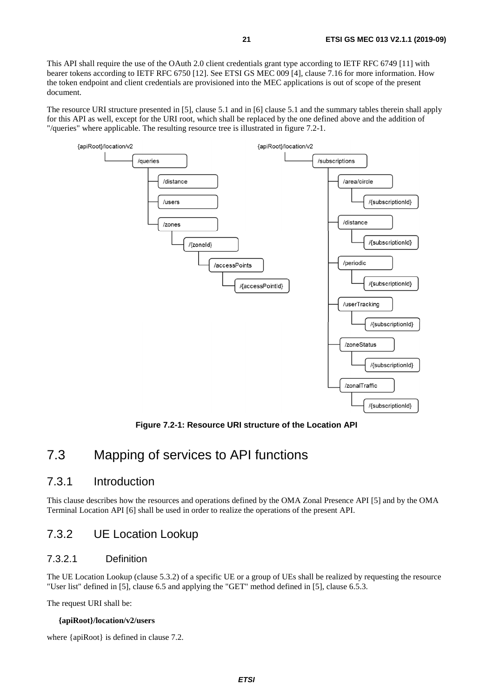<span id="page-20-0"></span>This API shall require the use of the OAuth 2.0 client credentials grant type according to IETF RFC 6749 [\[11](#page-5-0)] with bearer tokens according to IETF RFC 6750 [\[12\]](#page-6-0). See ETSI GS MEC 009 [[4\]](#page-5-0), clause 7.16 for more information. How the token endpoint and client credentials are provisioned into the MEC applications is out of scope of the present document.

The resource URI structure presented in [[5](#page-5-0)], clause 5.1 and in [[6](#page-5-0)] clause 5.1 and the summary tables therein shall apply for this API as well, except for the URI root, which shall be replaced by the one defined above and the addition of "/queries" where applicable. The resulting resource tree is illustrated in figure 7.2-1.



**Figure 7.2-1: Resource URI structure of the Location API** 

## 7.3 Mapping of services to API functions

### 7.3.1 Introduction

This clause describes how the resources and operations defined by the OMA Zonal Presence API [\[5](#page-5-0)] and by the OMA Terminal Location API [[6\]](#page-5-0) shall be used in order to realize the operations of the present API.

### 7.3.2 UE Location Lookup

### 7.3.2.1 Definition

The UE Location Lookup (clause 5.3.2) of a specific UE or a group of UEs shall be realized by requesting the resource "User list" defined in [[5\]](#page-5-0), clause 6.5 and applying the "GET" method defined in [\[5](#page-5-0)], clause 6.5.3.

The request URI shall be:

#### **{apiRoot}/location/v2/users**

where {apiRoot} is defined in clause 7.2.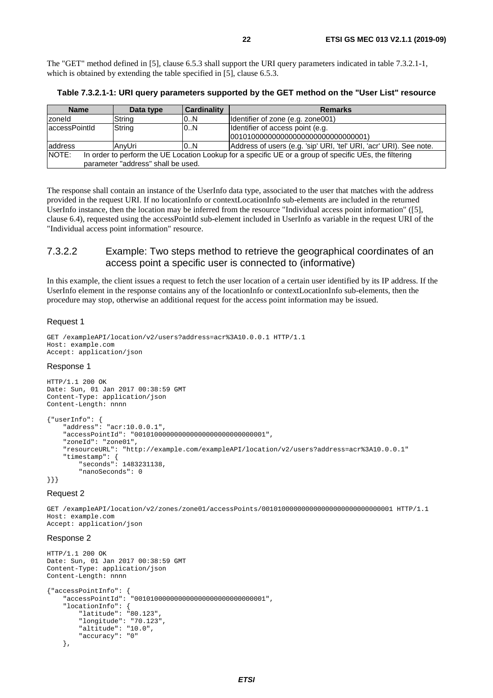<span id="page-21-0"></span>The "GET" method defined in [\[5](#page-5-0)], clause 6.5.3 shall support the URI query parameters indicated in table 7.3.2.1-1, which is obtained by extending the table specified in [[5](#page-5-0)], clause 6.5.3.

**Table 7.3.2.1-1: URI query parameters supported by the GET method on the "User List" resource** 

| <b>Name</b>                                                                                                                                           | Data type | <b>Cardinality</b> | <b>Remarks</b>                                                          |  |
|-------------------------------------------------------------------------------------------------------------------------------------------------------|-----------|--------------------|-------------------------------------------------------------------------|--|
| zoneld                                                                                                                                                | String    | 0N                 | Identifier of zone (e.g. zone001)                                       |  |
| laccessPointId                                                                                                                                        | String    | 0N                 | Identifier of access point (e.g.<br>0010100000000000000000000000000001) |  |
| address                                                                                                                                               | AnvUri    | 10N                | Address of users (e.g. 'sip' URI, 'tel' URI, 'acr' URI). See note.      |  |
| NOTE:<br>In order to perform the UE Location Lookup for a specific UE or a group of specific UEs, the filtering<br>parameter "address" shall be used. |           |                    |                                                                         |  |

The response shall contain an instance of the UserInfo data type, associated to the user that matches with the address provided in the request URI. If no locationInfo or contextLocationInfo sub-elements are included in the returned UserInfo instance, then the location may be inferred from the resource "Individual access point information" ([\[5\]](#page-5-0), clause 6.4), requested using the accessPointId sub-element included in UserInfo as variable in the request URI of the "Individual access point information" resource.

### 7.3.2.2 Example: Two steps method to retrieve the geographical coordinates of an access point a specific user is connected to (informative)

In this example, the client issues a request to fetch the user location of a certain user identified by its IP address. If the UserInfo element in the response contains any of the locationInfo or contextLocationInfo sub-elements, then the procedure may stop, otherwise an additional request for the access point information may be issued.

#### Request 1

```
GET /exampleAPI/location/v2/users?address=acr%3A10.0.0.1 HTTP/1.1 
Host: example.com 
Accept: application/json
```
#### Response 1

```
HTTP/1.1 200 OK 
Date: Sun, 01 Jan 2017 00:38:59 GMT 
Content-Type: application/json 
Content-Length: nnnn 
{"userInfo": { 
 "address": "acr:10.0.0.1", 
     "accessPointId": "001010000000000000000000000000001", 
     "zoneId": "zone01", 
     "resourceURL": "http://example.com/exampleAPI/location/v2/users?address=acr%3A10.0.0.1" 
     "timestamp": { 
         "seconds": 1483231138, 
         "nanoSeconds": 0 
}}}
```
#### Request 2

GET /exampleAPI/location/v2/zones/zone01/accessPoints/001010000000000000000000000000001 HTTP/1.1 Host: example.com Accept: application/json

#### Response 2

```
HTTP/1.1 200 OK 
Date: Sun, 01 Jan 2017 00:38:59 GMT 
Content-Type: application/json 
Content-Length: nnnn 
{"accessPointInfo": { 
     "accessPointId": "001010000000000000000000000000001", 
 "locationInfo": { 
 "latitude": "80.123", 
         "longitude": "70.123", 
         "altitude": "10.0", 
         "accuracy": "0" 
     },
```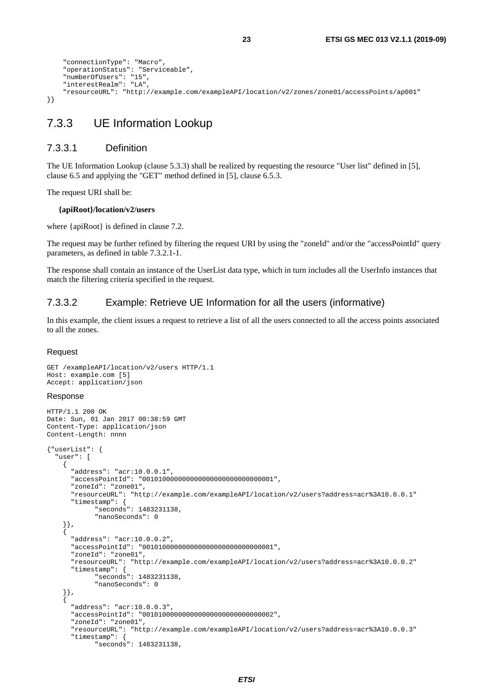```
 "connectionType": "Macro", 
     "operationStatus": "Serviceable", 
     "numberOfUsers": "15", 
     "interestRealm": "LA", 
     "resourceURL": "http://example.com/exampleAPI/location/v2/zones/zone01/accessPoints/ap001" 
}}
```
## 7.3.3 UE Information Lookup

#### 7.3.3.1 Definition

The UE Information Lookup (clause 5.3.3) shall be realized by requesting the resource "User list" defined in [[5](#page-5-0)], clause 6.5 and applying the "GET" method defined in [[5\]](#page-5-0), clause 6.5.3.

The request URI shall be:

#### **{apiRoot}/location/v2/users**

where {apiRoot} is defined in clause 7.2.

The request may be further refined by filtering the request URI by using the "zoneId" and/or the "accessPointId" query parameters, as defined in table 7.3.2.1-1.

The response shall contain an instance of the UserList data type, which in turn includes all the UserInfo instances that match the filtering criteria specified in the request.

#### 7.3.3.2 Example: Retrieve UE Information for all the users (informative)

In this example, the client issues a request to retrieve a list of all the users connected to all the access points associated to all the zones.

#### Request

```
GET /exampleAPI/location/v2/users HTTP/1.1 
Host: example.com [5] 
Accept: application/json
```
#### Response

```
HTTP/1.1 200 OK 
Date: Sun, 01 Jan 2017 00:38:59 GMT 
Content-Type: application/json 
Content-Length: nnnn 
{"userList": { 
   "user": [ 
     { 
       "address": "acr:10.0.0.1", 
       "accessPointId": "001010000000000000000000000000001", 
       "zoneId": "zone01", 
       "resourceURL": "http://example.com/exampleAPI/location/v2/users?address=acr%3A10.0.0.1" 
       "timestamp": { 
              "seconds": 1483231138, 
              "nanoSeconds": 0 
     }}, 
 { 
       "address": "acr:10.0.0.2", 
       "accessPointId": "001010000000000000000000000000001", 
       "zoneId": "zone01", 
       "resourceURL": "http://example.com/exampleAPI/location/v2/users?address=acr%3A10.0.0.2" 
       "timestamp": { 
              "seconds": 1483231138, 
              "nanoSeconds": 0 
     }}, 
 { 
       "address": "acr:10.0.0.3", 
       "accessPointId": "001010000000000000000000000000002", 
       "zoneId": "zone01", 
       "resourceURL": "http://example.com/exampleAPI/location/v2/users?address=acr%3A10.0.0.3" 
       "timestamp": { 
              "seconds": 1483231138,
```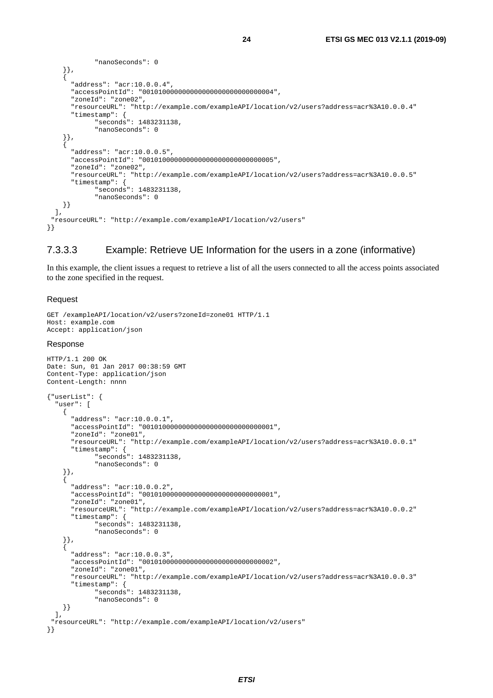```
 "nanoSeconds": 0 
     }}, 
     { 
       "address": "acr:10.0.0.4", 
       "accessPointId": "001010000000000000000000000000004", 
       "zoneId": "zone02", 
       "resourceURL": "http://example.com/exampleAPI/location/v2/users?address=acr%3A10.0.0.4" 
       "timestamp": { 
              "seconds": 1483231138, 
              "nanoSeconds": 0 
     }}, 
 { 
       "address": "acr:10.0.0.5", 
       "accessPointId": "001010000000000000000000000000005", 
       "zoneId": "zone02", 
       "resourceURL": "http://example.com/exampleAPI/location/v2/users?address=acr%3A10.0.0.5" 
       "timestamp": { 
              "seconds": 1483231138, 
              "nanoSeconds": 0 
     }} 
   ], 
  "resourceURL": "http://example.com/exampleAPI/location/v2/users" 
}}
```
### 7.3.3.3 Example: Retrieve UE Information for the users in a zone (informative)

In this example, the client issues a request to retrieve a list of all the users connected to all the access points associated to the zone specified in the request.

#### Request

```
GET /exampleAPI/location/v2/users?zoneId=zone01 HTTP/1.1 
Host: example.com 
Accept: application/json 
Response 
HTTP/1.1 200 OK 
Date: Sun, 01 Jan 2017 00:38:59 GMT
```

```
Content-Type: application/json 
Content-Length: nnnn 
{"userList": { 
   "user": [ 
     { 
       "address": "acr:10.0.0.1", 
       "accessPointId": "001010000000000000000000000000001", 
       "zoneId": "zone01", 
       "resourceURL": "http://example.com/exampleAPI/location/v2/users?address=acr%3A10.0.0.1" 
       "timestamp": { 
              "seconds": 1483231138, 
              "nanoSeconds": 0 
     }}, 
 { 
       "address": "acr:10.0.0.2", 
       "accessPointId": "001010000000000000000000000000001", 
       "zoneId": "zone01", 
       "resourceURL": "http://example.com/exampleAPI/location/v2/users?address=acr%3A10.0.0.2" 
       "timestamp": { 
              "seconds": 1483231138, 
              "nanoSeconds": 0 
     }}, 
 { 
       "address": "acr:10.0.0.3", 
       "accessPointId": "001010000000000000000000000000002", 
       "zoneId": "zone01", 
       "resourceURL": "http://example.com/exampleAPI/location/v2/users?address=acr%3A10.0.0.3" 
       "timestamp": { 
              "seconds": 1483231138, 
              "nanoSeconds": 0 
     }} 
   ], 
  "resourceURL": "http://example.com/exampleAPI/location/v2/users" 
}}
```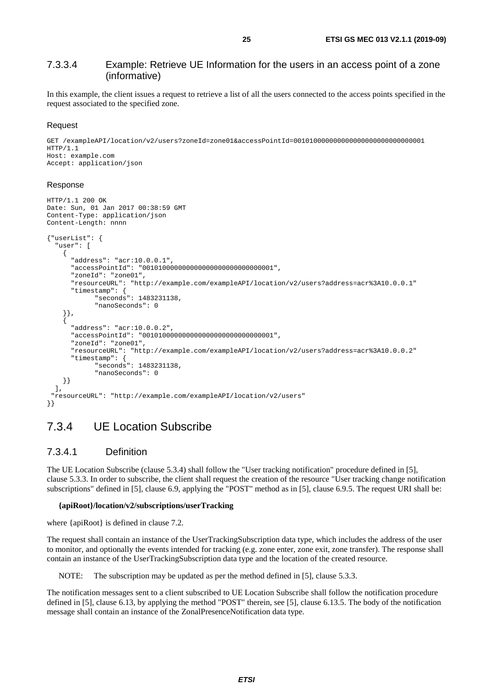### <span id="page-24-0"></span>7.3.3.4 Example: Retrieve UE Information for the users in an access point of a zone (informative)

In this example, the client issues a request to retrieve a list of all the users connected to the access points specified in the request associated to the specified zone.

#### Request

```
GET /exampleAPI/location/v2/users?zoneId=zone01&accessPointId=001010000000000000000000000000001 
HTTP/1.1 
Host: example.com 
Accept: application/json
```
#### Response

```
HTTP/1.1 200 OK 
Date: Sun, 01 Jan 2017 00:38:59 GMT 
Content-Type: application/json 
Content-Length: nnnn 
{"userList": { 
   "user": [ 
     { 
       "address": "acr:10.0.0.1", 
       "accessPointId": "001010000000000000000000000000001", 
       "zoneId": "zone01", 
       "resourceURL": "http://example.com/exampleAPI/location/v2/users?address=acr%3A10.0.0.1" 
       "timestamp": { 
              "seconds": 1483231138, 
              "nanoSeconds": 0 
     }}, 
 { 
       "address": "acr:10.0.0.2", 
       "accessPointId": "001010000000000000000000000000001", 
       "zoneId": "zone01", 
       "resourceURL": "http://example.com/exampleAPI/location/v2/users?address=acr%3A10.0.0.2" 
       "timestamp": { 
              "seconds": 1483231138, 
              "nanoSeconds": 0 
     }} 
   ], 
  "resourceURL": "http://example.com/exampleAPI/location/v2/users" 
}}
```
### 7.3.4 UE Location Subscribe

### 7.3.4.1 Definition

The UE Location Subscribe (clause 5.3.4) shall follow the "User tracking notification" procedure defined in [[5\]](#page-5-0), clause 5.3.3. In order to subscribe, the client shall request the creation of the resource "User tracking change notification subscriptions" defined in [[5\]](#page-5-0), clause 6.9, applying the "POST" method as in [\[5\]](#page-5-0), clause 6.9.5. The request URI shall be:

#### **{apiRoot}/location/v2/subscriptions/userTracking**

where {apiRoot} is defined in clause 7.2.

The request shall contain an instance of the UserTrackingSubscription data type, which includes the address of the user to monitor, and optionally the events intended for tracking (e.g. zone enter, zone exit, zone transfer). The response shall contain an instance of the UserTrackingSubscription data type and the location of the created resource.

NOTE: The subscription may be updated as per the method defined in [[5\]](#page-5-0), clause 5.3.3.

The notification messages sent to a client subscribed to UE Location Subscribe shall follow the notification procedure defined in [[5\]](#page-5-0), clause 6.13, by applying the method "POST" therein, see [\[5\]](#page-5-0), clause 6.13.5. The body of the notification message shall contain an instance of the ZonalPresenceNotification data type.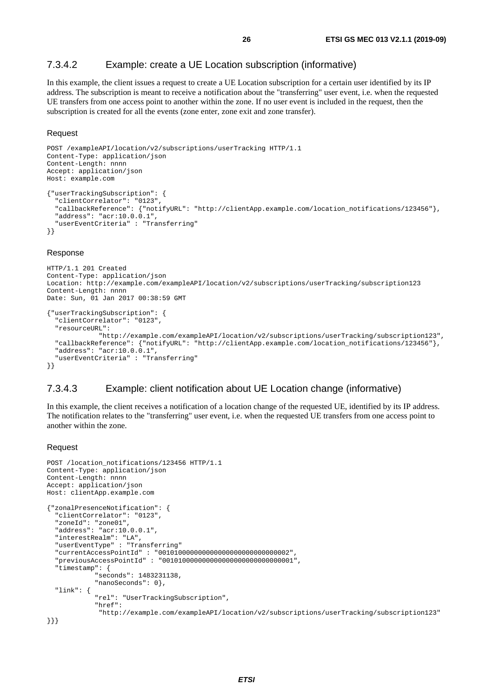#### <span id="page-25-0"></span>7.3.4.2 Example: create a UE Location subscription (informative)

In this example, the client issues a request to create a UE Location subscription for a certain user identified by its IP address. The subscription is meant to receive a notification about the "transferring" user event, i.e. when the requested UE transfers from one access point to another within the zone. If no user event is included in the request, then the subscription is created for all the events (zone enter, zone exit and zone transfer).

#### Request

```
POST /exampleAPI/location/v2/subscriptions/userTracking HTTP/1.1 
Content-Type: application/json 
Content-Length: nnnn 
Accept: application/json 
Host: example.com 
{"userTrackingSubscription": { 
 "clientCorrelator": "0123", 
 "callbackReference": {"notifyURL": "http://clientApp.example.com/location_notifications/123456"}, 
   "address": "acr:10.0.0.1", 
   "userEventCriteria" : "Transferring" 
}}
```
#### Response

```
HTTP/1.1 201 Created 
Content-Type: application/json 
Location: http://example.com/exampleAPI/location/v2/subscriptions/userTracking/subscription123 
Content-Length: nnnn 
Date: Sun, 01 Jan 2017 00:38:59 GMT 
{"userTrackingSubscription": { 
   "clientCorrelator": "0123", 
   "resourceURL": 
              "http://example.com/exampleAPI/location/v2/subscriptions/userTracking/subscription123", 
   "callbackReference": {"notifyURL": "http://clientApp.example.com/location_notifications/123456"}, 
   "address": "acr:10.0.0.1", 
   "userEventCriteria" : "Transferring" 
}}
```
#### 7.3.4.3 Example: client notification about UE Location change (informative)

In this example, the client receives a notification of a location change of the requested UE, identified by its IP address. The notification relates to the "transferring" user event, i.e. when the requested UE transfers from one access point to another within the zone.

#### Request

```
POST /location_notifications/123456 HTTP/1.1 
Content-Type: application/json 
Content-Length: nnnn 
Accept: application/json 
Host: clientApp.example.com 
{"zonalPresenceNotification": { 
   "clientCorrelator": "0123", 
   "zoneId": "zone01", 
   "address": "acr:10.0.0.1", 
 "interestRealm": "LA", 
 "userEventType" : "Transferring" 
   "currentAccessPointId" : "001010000000000000000000000000002", 
   "previousAccessPointId" : "001010000000000000000000000000001", 
   "timestamp": { 
              "seconds": 1483231138, 
              "nanoSeconds": 0}, 
   "link": { 
              "rel": "UserTrackingSubscription", 
              "href": 
               "http://example.com/exampleAPI/location/v2/subscriptions/userTracking/subscription123" 
}}}
```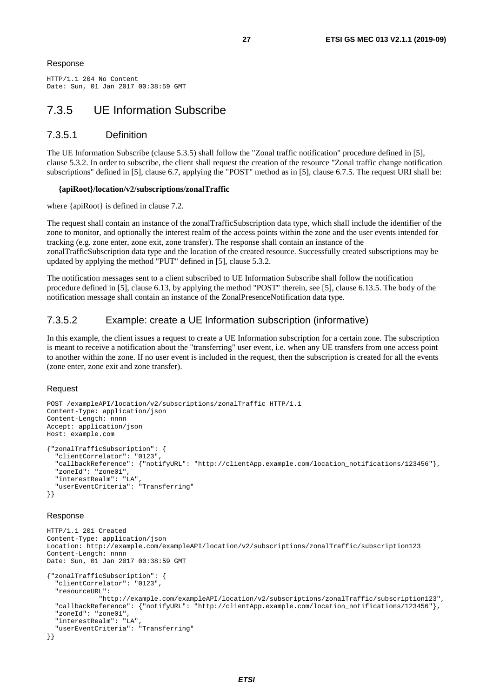#### <span id="page-26-0"></span>Response

HTTP/1.1 204 No Content Date: Sun, 01 Jan 2017 00:38:59 GMT

## 7.3.5 UE Information Subscribe

### 7.3.5.1 Definition

The UE Information Subscribe (clause 5.3.5) shall follow the "Zonal traffic notification" procedure defined in [\[5](#page-5-0)], clause 5.3.2. In order to subscribe, the client shall request the creation of the resource "Zonal traffic change notification subscriptions" defined in [[5\]](#page-5-0), clause 6.7, applying the "POST" method as in [\[5\]](#page-5-0), clause 6.7.5. The request URI shall be:

#### **{apiRoot}/location/v2/subscriptions/zonalTraffic**

where {apiRoot} is defined in clause 7.2.

The request shall contain an instance of the zonalTrafficSubscription data type, which shall include the identifier of the zone to monitor, and optionally the interest realm of the access points within the zone and the user events intended for tracking (e.g. zone enter, zone exit, zone transfer). The response shall contain an instance of the zonalTrafficSubscription data type and the location of the created resource. Successfully created subscriptions may be updated by applying the method "PUT" defined in [\[5\]](#page-5-0), clause 5.3.2.

The notification messages sent to a client subscribed to UE Information Subscribe shall follow the notification procedure defined in [\[5](#page-5-0)], clause 6.13, by applying the method "POST" therein, see [[5](#page-5-0)], clause 6.13.5. The body of the notification message shall contain an instance of the ZonalPresenceNotification data type.

### 7.3.5.2 Example: create a UE Information subscription (informative)

In this example, the client issues a request to create a UE Information subscription for a certain zone. The subscription is meant to receive a notification about the "transferring" user event, i.e. when any UE transfers from one access point to another within the zone. If no user event is included in the request, then the subscription is created for all the events (zone enter, zone exit and zone transfer).

#### Request

```
POST /exampleAPI/location/v2/subscriptions/zonalTraffic HTTP/1.1 
Content-Type: application/json 
Content-Length: nnnn 
Accept: application/json 
Host: example.com 
{"zonalTrafficSubscription": { 
   "clientCorrelator": "0123", 
   "callbackReference": {"notifyURL": "http://clientApp.example.com/location_notifications/123456"}, 
   "zoneId": "zone01", 
   "interestRealm": "LA", 
   "userEventCriteria": "Transferring" 
}}
```
#### Response

```
HTTP/1.1 201 Created 
Content-Type: application/json 
Location: http://example.com/exampleAPI/location/v2/subscriptions/zonalTraffic/subscription123 
Content-Length: nnnn 
Date: Sun, 01 Jan 2017 00:38:59 GMT 
{"zonalTrafficSubscription": { 
   "clientCorrelator": "0123", 
   "resourceURL": 
               "http://example.com/exampleAPI/location/v2/subscriptions/zonalTraffic/subscription123", 
   "callbackReference": {"notifyURL": "http://clientApp.example.com/location_notifications/123456"}, 
   "zoneId": "zone01", 
   "interestRealm": "LA", 
   "userEventCriteria": "Transferring" 
}}
```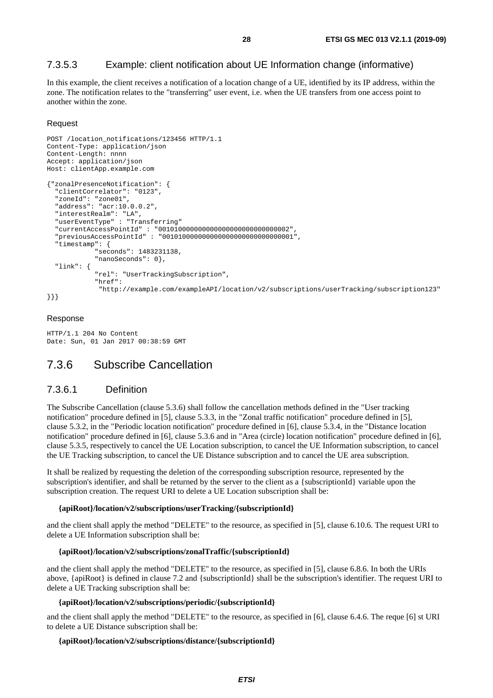### <span id="page-27-0"></span>7.3.5.3 Example: client notification about UE Information change (informative)

In this example, the client receives a notification of a location change of a UE, identified by its IP address, within the zone. The notification relates to the "transferring" user event, i.e. when the UE transfers from one access point to another within the zone.

#### **Request**

```
POST /location_notifications/123456 HTTP/1.1 
Content-Type: application/json 
Content-Length: nnnn 
Accept: application/json 
Host: clientApp.example.com 
{"zonalPresenceNotification": { 
   "clientCorrelator": "0123", 
   "zoneId": "zone01", 
   "address": "acr:10.0.0.2", 
   "interestRealm": "LA", 
   "userEventType" : "Transferring" 
   "currentAccessPointId" : "001010000000000000000000000000002", 
   "previousAccessPointId" : "001010000000000000000000000000001", 
   "timestamp": { 
              "seconds": 1483231138, 
              "nanoSeconds": 0}, 
   "link": { 
              "rel": "UserTrackingSubscription", 
              "href": 
               "http://example.com/exampleAPI/location/v2/subscriptions/userTracking/subscription123" 
}}}
```
#### Response

HTTP/1.1 204 No Content Date: Sun, 01 Jan 2017 00:38:59 GMT

## 7.3.6 Subscribe Cancellation

#### 7.3.6.1 Definition

The Subscribe Cancellation (clause 5.3.6) shall follow the cancellation methods defined in the "User tracking notification" procedure defined in [[5\]](#page-5-0), clause 5.3.3, in the "Zonal traffic notification" procedure defined in [[5\]](#page-5-0), clause 5.3.2, in the "Periodic location notification" procedure defined in [[6\]](#page-5-0), clause 5.3.4, in the "Distance location notification" procedure defined in [[6\]](#page-5-0), clause 5.3.6 and in "Area (circle) location notification" procedure defined in [[6\]](#page-5-0), clause 5.3.5, respectively to cancel the UE Location subscription, to cancel the UE Information subscription, to cancel the UE Tracking subscription, to cancel the UE Distance subscription and to cancel the UE area subscription.

It shall be realized by requesting the deletion of the corresponding subscription resource, represented by the subscription's identifier, and shall be returned by the server to the client as a {subscriptionId} variable upon the subscription creation. The request URI to delete a UE Location subscription shall be:

#### **{apiRoot}/location/v2/subscriptions/userTracking/{subscriptionId}**

and the client shall apply the method "DELETE" to the resource, as specified in [[5](#page-5-0)], clause 6.10.6. The request URI to delete a UE Information subscription shall be:

#### **{apiRoot}/location/v2/subscriptions/zonalTraffic/{subscriptionId}**

and the client shall apply the method "DELETE" to the resource, as specified in [[5](#page-5-0)], clause 6.8.6. In both the URIs above, {apiRoot} is defined in clause 7.2 and {subscriptionId} shall be the subscription's identifier. The request URI to delete a UE Tracking subscription shall be:

#### **{apiRoot}/location/v2/subscriptions/periodic/{subscriptionId}**

and the client shall apply the method "DELETE" to the resource, as specified in [[6](#page-5-0)], clause 6.4.6. The reque [\[6](#page-5-0)] st URI to delete a UE Distance subscription shall be:

#### **{apiRoot}/location/v2/subscriptions/distance/{subscriptionId}**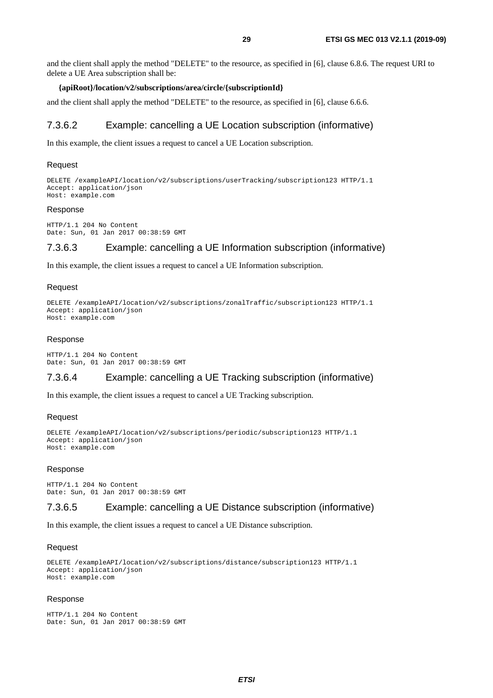<span id="page-28-0"></span>and the client shall apply the method "DELETE" to the resource, as specified in [[6](#page-5-0)], clause 6.8.6. The request URI to delete a UE Area subscription shall be:

#### **{apiRoot}/location/v2/subscriptions/area/circle/{subscriptionId}**

and the client shall apply the method "DELETE" to the resource, as specified in [[6](#page-5-0)], clause 6.6.6.

#### 7.3.6.2 Example: cancelling a UE Location subscription (informative)

In this example, the client issues a request to cancel a UE Location subscription.

#### Request

DELETE /exampleAPI/location/v2/subscriptions/userTracking/subscription123 HTTP/1.1 Accept: application/json Host: example.com

#### Response

HTTP/1.1 204 No Content Date: Sun, 01 Jan 2017 00:38:59 GMT

#### 7.3.6.3 Example: cancelling a UE Information subscription (informative)

In this example, the client issues a request to cancel a UE Information subscription.

#### Request

```
DELETE /exampleAPI/location/v2/subscriptions/zonalTraffic/subscription123 HTTP/1.1 
Accept: application/json 
Host: example.com
```
#### Response

HTTP/1.1 204 No Content Date: Sun, 01 Jan 2017 00:38:59 GMT

### 7.3.6.4 Example: cancelling a UE Tracking subscription (informative)

In this example, the client issues a request to cancel a UE Tracking subscription.

#### Request

```
DELETE /exampleAPI/location/v2/subscriptions/periodic/subscription123 HTTP/1.1 
Accept: application/json 
Host: example.com
```
#### Response

HTTP/1.1 204 No Content Date: Sun, 01 Jan 2017 00:38:59 GMT

#### 7.3.6.5 Example: cancelling a UE Distance subscription (informative)

In this example, the client issues a request to cancel a UE Distance subscription.

#### Request

```
DELETE /exampleAPI/location/v2/subscriptions/distance/subscription123 HTTP/1.1 
Accept: application/json 
Host: example.com
```
#### Response

```
HTTP/1.1 204 No Content 
Date: Sun, 01 Jan 2017 00:38:59 GMT
```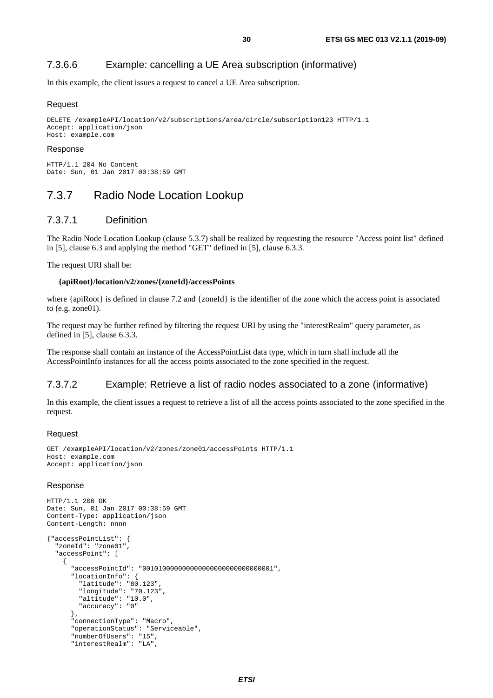### <span id="page-29-0"></span>7.3.6.6 Example: cancelling a UE Area subscription (informative)

In this example, the client issues a request to cancel a UE Area subscription.

#### Request

```
DELETE /exampleAPI/location/v2/subscriptions/area/circle/subscription123 HTTP/1.1 
Accept: application/json 
Host: example.com
```
#### Response

HTTP/1.1 204 No Content Date: Sun, 01 Jan 2017 00:38:59 GMT

## 7.3.7 Radio Node Location Lookup

### 7.3.7.1 Definition

The Radio Node Location Lookup (clause 5.3.7) shall be realized by requesting the resource "Access point list" defined in [\[5](#page-5-0)], clause 6.3 and applying the method "GET" defined in [[5](#page-5-0)], clause 6.3.3.

The request URI shall be:

#### **{apiRoot}/location/v2/zones/{zoneId}/accessPoints**

where {apiRoot} is defined in clause 7.2 and {zoneId} is the identifier of the zone which the access point is associated to (e.g. zone $01$ ).

The request may be further refined by filtering the request URI by using the "interestRealm" query parameter, as defined in [[5\]](#page-5-0), clause 6.3.3.

The response shall contain an instance of the AccessPointList data type, which in turn shall include all the AccessPointInfo instances for all the access points associated to the zone specified in the request.

### 7.3.7.2 Example: Retrieve a list of radio nodes associated to a zone (informative)

In this example, the client issues a request to retrieve a list of all the access points associated to the zone specified in the request.

#### Request

```
GET /exampleAPI/location/v2/zones/zone01/accessPoints HTTP/1.1 
Host: example.com 
Accept: application/json
```
#### Response

```
HTTP/1.1 200 OK 
Date: Sun, 01 Jan 2017 00:38:59 GMT 
Content-Type: application/json 
Content-Length: nnnn 
{"accessPointList": { 
   "zoneId": "zone01", 
   "accessPoint": [ 
     { 
       "accessPointId": "001010000000000000000000000000001", 
       "locationInfo": { 
          "latitude": "80.123", 
          "longitude": "70.123", 
          "altitude": "10.0", 
          "accuracy": "0" 
       }, 
       "connectionType": "Macro", 
       "operationStatus": "Serviceable", 
       "numberOfUsers": "15", 
       "interestRealm": "LA",
```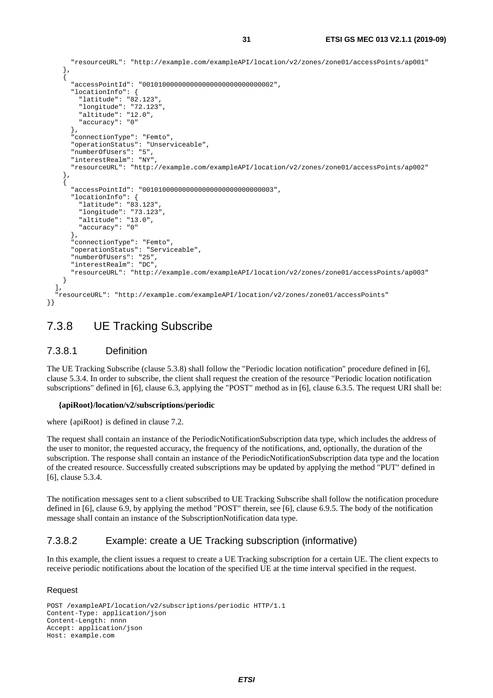```
 "resourceURL": "http://example.com/exampleAPI/location/v2/zones/zone01/accessPoints/ap001" 
     }, 
     { 
       "accessPointId": "001010000000000000000000000000002", 
       "locationInfo": { 
         "latitude": "82.123", 
         "longitude": "72.123", 
         "altitude": "12.0", 
         "accuracy": "0" 
\},
       "connectionType": "Femto", 
       "operationStatus": "Unserviceable", 
       "numberOfUsers": "5", 
       "interestRealm": "NY", 
       "resourceURL": "http://example.com/exampleAPI/location/v2/zones/zone01/accessPoints/ap002" 
     }, 
 { 
       "accessPointId": "001010000000000000000000000000003", 
       "locationInfo": { 
         "latitude": "83.123", 
         "longitude": "73.123", 
         "altitude": "13.0", 
         "accuracy": "0" 
       }, 
       "connectionType": "Femto", 
       "operationStatus": "Serviceable", 
       "numberOfUsers": "25", 
       "interestRealm": "DC", 
       "resourceURL": "http://example.com/exampleAPI/location/v2/zones/zone01/accessPoints/ap003" 
     } 
   ], 
   "resourceURL": "http://example.com/exampleAPI/location/v2/zones/zone01/accessPoints"
```
## 7.3.8 UE Tracking Subscribe

### 7.3.8.1 Definition

}}

The UE Tracking Subscribe (clause 5.3.8) shall follow the "Periodic location notification" procedure defined in [\[6](#page-5-0)], clause 5.3.4. In order to subscribe, the client shall request the creation of the resource "Periodic location notification subscriptions" defined in [[6\]](#page-5-0), clause 6.3, applying the "POST" method as in [\[6\]](#page-5-0), clause 6.3.5. The request URI shall be:

#### **{apiRoot}/location/v2/subscriptions/periodic**

where {apiRoot} is defined in clause 7.2.

The request shall contain an instance of the PeriodicNotificationSubscription data type, which includes the address of the user to monitor, the requested accuracy, the frequency of the notifications, and, optionally, the duration of the subscription. The response shall contain an instance of the PeriodicNotificationSubscription data type and the location of the created resource. Successfully created subscriptions may be updated by applying the method "PUT" defined in [[6\]](#page-5-0), clause 5.3.4.

The notification messages sent to a client subscribed to UE Tracking Subscribe shall follow the notification procedure defined in [[6\]](#page-5-0), clause 6.9, by applying the method "POST" therein, see [\[6](#page-5-0)], clause 6.9.5. The body of the notification message shall contain an instance of the SubscriptionNotification data type.

### 7.3.8.2 Example: create a UE Tracking subscription (informative)

In this example, the client issues a request to create a UE Tracking subscription for a certain UE. The client expects to receive periodic notifications about the location of the specified UE at the time interval specified in the request.

#### **Request**

```
POST /exampleAPI/location/v2/subscriptions/periodic HTTP/1.1 
Content-Type: application/json 
Content-Length: nnnn 
Accept: application/json 
Host: example.com
```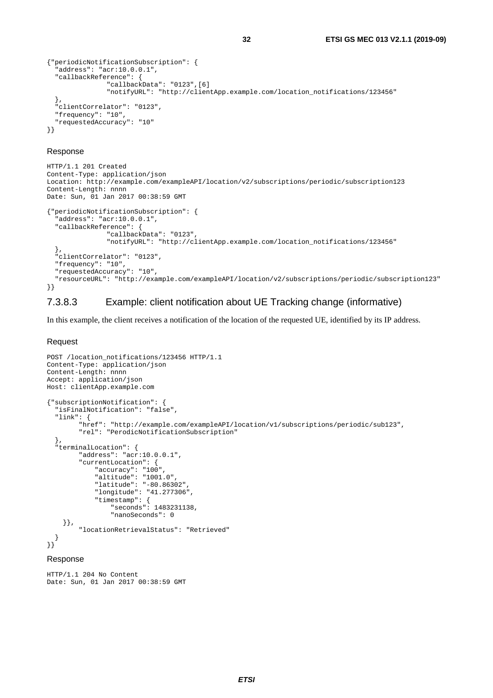```
{"periodicNotificationSubscription": { 
  -<br>"address": "acr:10.0.0.1",
   "callbackReference": { 
                 "callbackData": "0123",[6] 
                 "notifyURL": "http://clientApp.example.com/location_notifications/123456" 
   }, 
   "clientCorrelator": "0123", 
   "frequency": "10", 
   "requestedAccuracy": "10" 
}}
```
#### Response

```
HTTP/1.1 201 Created 
Content-Type: application/json 
Location: http://example.com/exampleAPI/location/v2/subscriptions/periodic/subscription123 
Content-Length: nnnn 
Date: Sun, 01 Jan 2017 00:38:59 GMT 
{"periodicNotificationSubscription": { 
   "address": "acr:10.0.0.1", 
   "callbackReference": { 
                 "callbackData": "0123", 
                 "notifyURL": "http://clientApp.example.com/location_notifications/123456" 
   }, 
   "clientCorrelator": "0123", 
   "frequency": "10", 
   "requestedAccuracy": "10", 
   "resourceURL": "http://example.com/exampleAPI/location/v2/subscriptions/periodic/subscription123" 
}}
```
### 7.3.8.3 Example: client notification about UE Tracking change (informative)

In this example, the client receives a notification of the location of the requested UE, identified by its IP address.

#### Request

```
POST /location_notifications/123456 HTTP/1.1 
Content-Type: application/json 
Content-Length: nnnn 
Accept: application/json 
Host: clientApp.example.com 
{"subscriptionNotification": { 
   "isFinalNotification": "false", 
   "link": { 
         "href": "http://example.com/exampleAPI/location/v1/subscriptions/periodic/sub123", 
         "rel": "PerodicNotificationSubscription" 
   }, 
  .<br>"terminalLocation": {
         "address": "acr:10.0.0.1", 
         "currentLocation": { 
 "accuracy": "100", 
 "altitude": "1001.0", 
              "latitude": "-80.86302", 
              "longitude": "41.277306", 
              "timestamp": { 
                  "seconds": 1483231138, 
                  "nanoSeconds": 0 
     }}, 
         "locationRetrievalStatus": "Retrieved" 
   } 
}} 
Response
```
#### HTTP/1.1 204 No Content Date: Sun, 01 Jan 2017 00:38:59 GMT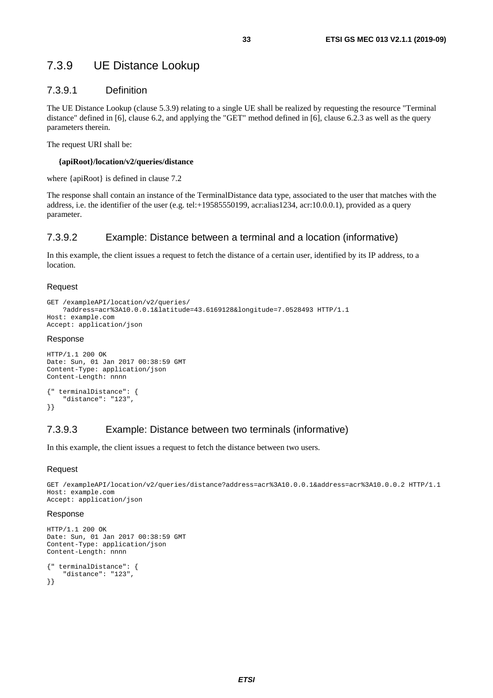## <span id="page-32-0"></span>7.3.9 UE Distance Lookup

### 7.3.9.1 Definition

The UE Distance Lookup (clause 5.3.9) relating to a single UE shall be realized by requesting the resource "Terminal distance" defined in [[6\]](#page-5-0), clause 6.2, and applying the "GET" method defined in [[6\]](#page-5-0), clause 6.2.3 as well as the query parameters therein.

The request URI shall be:

#### **{apiRoot}/location/v2/queries/distance**

where {apiRoot} is defined in clause 7.2

The response shall contain an instance of the TerminalDistance data type, associated to the user that matches with the address, i.e. the identifier of the user (e.g. tel:+19585550199, acr:alias1234, acr:10.0.0.1), provided as a query parameter.

### 7.3.9.2 Example: Distance between a terminal and a location (informative)

In this example, the client issues a request to fetch the distance of a certain user, identified by its IP address, to a location.

#### Request

```
GET /exampleAPI/location/v2/queries/
     ?address=acr%3A10.0.0.1&latitude=43.6169128&longitude=7.0528493 HTTP/1.1 
Host: example.com 
Accept: application/json
```
#### Response

```
HTTP/1.1 200 OK 
Date: Sun, 01 Jan 2017 00:38:59 GMT 
Content-Type: application/json 
Content-Length: nnnn 
{" terminalDistance": { 
     "distance": "123", 
}}
```
### 7.3.9.3 Example: Distance between two terminals (informative)

In this example, the client issues a request to fetch the distance between two users.

#### Request

```
GET /exampleAPI/location/v2/queries/distance?address=acr%3A10.0.0.1&address=acr%3A10.0.0.2 HTTP/1.1 
Host: example.com 
Accept: application/json
```
#### Response

```
HTTP/1.1 200 OK 
Date: Sun, 01 Jan 2017 00:38:59 GMT 
Content-Type: application/json 
Content-Length: nnnn 
{" terminalDistance": { 
     "distance": "123", 
}}
```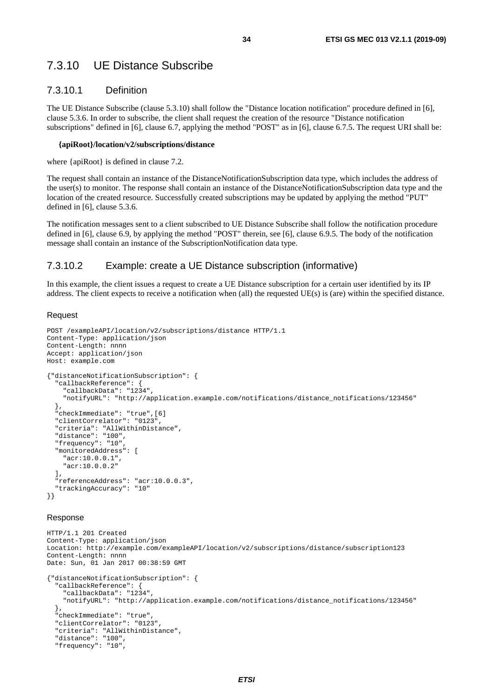## <span id="page-33-0"></span>7.3.10 UE Distance Subscribe

### 7.3.10.1 Definition

The UE Distance Subscribe (clause 5.3.10) shall follow the "Distance location notification" procedure defined in [[6\]](#page-5-0), clause 5.3.6. In order to subscribe, the client shall request the creation of the resource "Distance notification subscriptions" defined in [[6\]](#page-5-0), clause 6.7, applying the method "POST" as in [\[6\]](#page-5-0), clause 6.7.5. The request URI shall be:

#### **{apiRoot}/location/v2/subscriptions/distance**

where {apiRoot} is defined in clause 7.2.

The request shall contain an instance of the DistanceNotificationSubscription data type, which includes the address of the user(s) to monitor. The response shall contain an instance of the DistanceNotificationSubscription data type and the location of the created resource. Successfully created subscriptions may be updated by applying the method "PUT" defined in [[6\]](#page-5-0), clause 5.3.6.

The notification messages sent to a client subscribed to UE Distance Subscribe shall follow the notification procedure defined in [[6\]](#page-5-0), clause 6.9, by applying the method "POST" therein, see [\[6](#page-5-0)], clause 6.9.5. The body of the notification message shall contain an instance of the SubscriptionNotification data type.

#### 7.3.10.2 Example: create a UE Distance subscription (informative)

In this example, the client issues a request to create a UE Distance subscription for a certain user identified by its IP address. The client expects to receive a notification when (all) the requested UE(s) is (are) within the specified distance.

#### Request

```
POST /exampleAPI/location/v2/subscriptions/distance HTTP/1.1 
Content-Type: application/json 
Content-Length: nnnn 
Accept: application/json 
Host: example.com 
{"distanceNotificationSubscription": { 
   "callbackReference": { 
     "callbackData": "1234", 
     "notifyURL": "http://application.example.com/notifications/distance_notifications/123456" 
   }, 
   "checkImmediate": "true",[6] 
   "clientCorrelator": "0123", 
   "criteria": "AllWithinDistance", 
   "distance": "100", 
   "frequency": "10", 
   "monitoredAddress": [ 
     "acr:10.0.0.1", 
     "acr:10.0.0.2" 
   ], 
   "referenceAddress": "acr:10.0.0.3", 
   "trackingAccuracy": "10" 
}}
```
#### Response

```
HTTP/1.1 201 Created 
Content-Type: application/json 
Location: http://example.com/exampleAPI/location/v2/subscriptions/distance/subscription123 
Content-Length: nnnn 
Date: Sun, 01 Jan 2017 00:38:59 GMT 
{"distanceNotificationSubscription": { 
   "callbackReference": { 
     "callbackData": "1234", 
     "notifyURL": "http://application.example.com/notifications/distance_notifications/123456" 
   }, 
   "checkImmediate": "true", 
   "clientCorrelator": "0123", 
   "criteria": "AllWithinDistance", 
   "distance": "100", 
   "frequency": "10",
```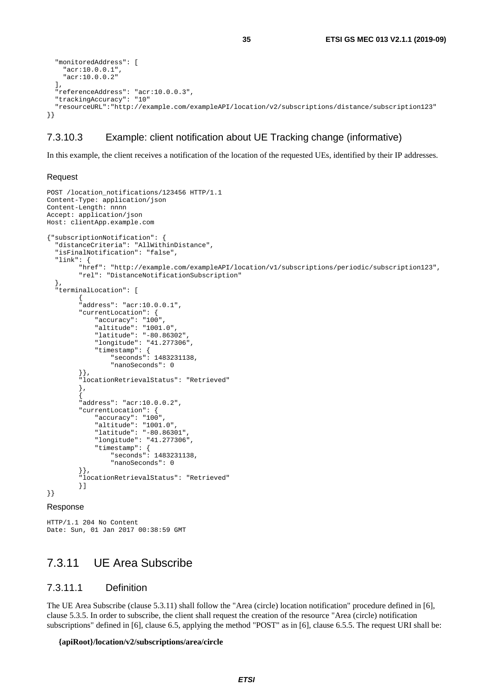```
 "monitoredAddress": [ 
     "acr:10.0.0.1", 
     "acr:10.0.0.2" 
   ], 
   "referenceAddress": "acr:10.0.0.3", 
   "trackingAccuracy": "10" 
   "resourceURL":"http://example.com/exampleAPI/location/v2/subscriptions/distance/subscription123" 
}}
```
#### 7.3.10.3 Example: client notification about UE Tracking change (informative)

In this example, the client receives a notification of the location of the requested UEs, identified by their IP addresses.

#### Request

```
POST /location_notifications/123456 HTTP/1.1 
Content-Type: application/json 
Content-Length: nnnn 
Accept: application/json 
Host: clientApp.example.com 
{"subscriptionNotification": { 
   "distanceCriteria": "AllWithinDistance", 
   "isFinalNotification": "false", 
   "link": { 
         "href": "http://example.com/exampleAPI/location/v1/subscriptions/periodic/subscription123", 
         "rel": "DistanceNotificationSubscription" 
   }, 
   "terminalLocation": [ 
\{ "address": "acr:10.0.0.1", 
         "currentLocation": { 
             "accuracy": "100", 
             "altitude": "1001.0", 
 "latitude": "-80.86302", 
 "longitude": "41.277306", 
             "timestamp": { 
                 "seconds": 1483231138, 
                 "nanoSeconds": 0 
 }}, 
 "locationRetrievalStatus": "Retrieved" 
         }, 
\{ "address": "acr:10.0.0.2", 
         "currentLocation": { 
             "accuracy": "100", 
             "altitude": "1001.0", 
             "latitude": "-80.86301", 
             "longitude": "41.277306", 
             "timestamp": { 
                 "seconds": 1483231138, 
                 "nanoSeconds": 0 
 }}, 
 "locationRetrievalStatus": "Retrieved" 
         }] 
}}
```
#### Response

```
HTTP/1.1 204 No Content 
Date: Sun, 01 Jan 2017 00:38:59 GMT
```
## 7.3.11 UE Area Subscribe

#### 7.3.11.1 Definition

The UE Area Subscribe (clause 5.3.11) shall follow the "Area (circle) location notification" procedure defined in [\[6](#page-5-0)], clause 5.3.5. In order to subscribe, the client shall request the creation of the resource "Area (circle) notification subscriptions" defined in [[6\]](#page-5-0), clause 6.5, applying the method "POST" as in [\[6\]](#page-5-0), clause 6.5.5. The request URI shall be:

#### **{apiRoot}/location/v2/subscriptions/area/circle**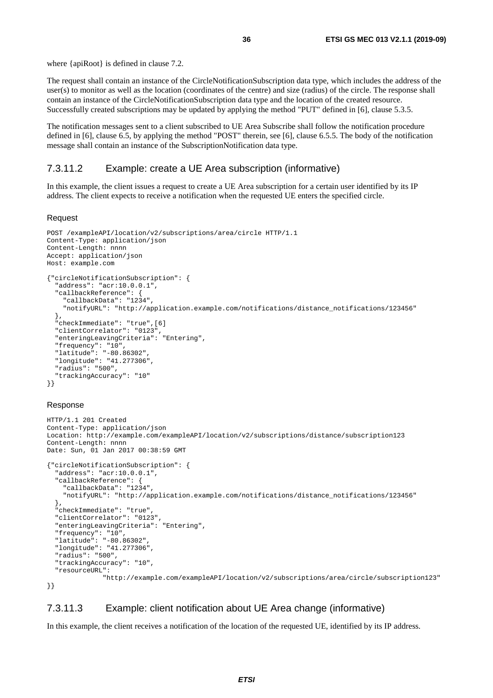<span id="page-35-0"></span>where {apiRoot} is defined in clause 7.2.

The request shall contain an instance of the CircleNotificationSubscription data type, which includes the address of the user(s) to monitor as well as the location (coordinates of the centre) and size (radius) of the circle. The response shall contain an instance of the CircleNotificationSubscription data type and the location of the created resource. Successfully created subscriptions may be updated by applying the method "PUT" defined in [[6\]](#page-5-0), clause 5.3.5.

The notification messages sent to a client subscribed to UE Area Subscribe shall follow the notification procedure defined in [[6\]](#page-5-0), clause 6.5, by applying the method "POST" therein, see [\[6](#page-5-0)], clause 6.5.5. The body of the notification message shall contain an instance of the SubscriptionNotification data type.

#### 7.3.11.2 Example: create a UE Area subscription (informative)

In this example, the client issues a request to create a UE Area subscription for a certain user identified by its IP address. The client expects to receive a notification when the requested UE enters the specified circle.

#### Request

```
POST /exampleAPI/location/v2/subscriptions/area/circle HTTP/1.1 
Content-Type: application/json 
Content-Length: nnnn 
Accept: application/json 
Host: example.com 
{"circleNotificationSubscription": { 
   "address": "acr:10.0.0.1", 
   "callbackReference": { 
     "callbackData": "1234", 
     "notifyURL": "http://application.example.com/notifications/distance_notifications/123456" 
   }, 
   "checkImmediate": "true",[6] 
   "clientCorrelator": "0123", 
   "enteringLeavingCriteria": "Entering", 
   "frequency": "10", 
   "latitude": "-80.86302", 
   "longitude": "41.277306", 
   "radius": "500", 
   "trackingAccuracy": "10" 
}}
```
#### Response

```
HTTP/1.1 201 Created 
Content-Type: application/json 
Location: http://example.com/exampleAPI/location/v2/subscriptions/distance/subscription123 
Content-Length: nnnn 
Date: Sun, 01 Jan 2017 00:38:59 GMT 
{"circleNotificationSubscription": { 
   "address": "acr:10.0.0.1", 
   "callbackReference": { 
     "callbackData": "1234", 
     "notifyURL": "http://application.example.com/notifications/distance_notifications/123456" 
   }, 
   "checkImmediate": "true", 
   "clientCorrelator": "0123", 
   "enteringLeavingCriteria": "Entering", 
   "frequency": "10", 
   "latitude": "-80.86302", 
   "longitude": "41.277306", 
   "radius": "500", 
   "trackingAccuracy": "10", 
   "resourceURL": 
                "http://example.com/exampleAPI/location/v2/subscriptions/area/circle/subscription123"
```
}}

#### 7.3.11.3 Example: client notification about UE Area change (informative)

In this example, the client receives a notification of the location of the requested UE, identified by its IP address.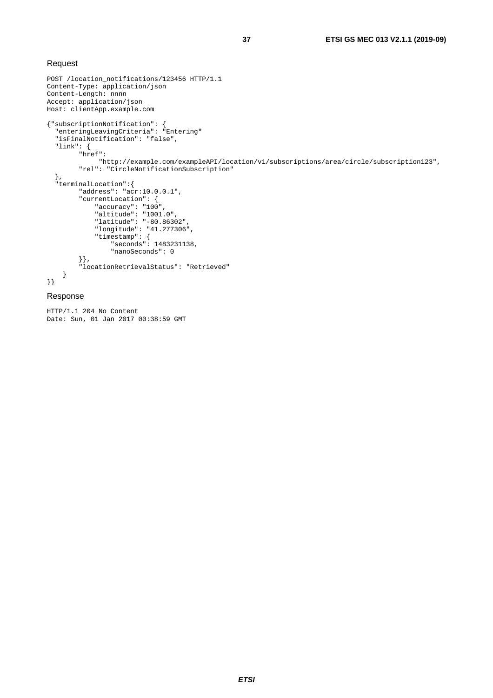#### Request

```
POST /location_notifications/123456 HTTP/1.1 
Content-Type: application/json 
Content-Length: nnnn 
Accept: application/json 
Host: clientApp.example.com 
{"subscriptionNotification": { 
 "enteringLeavingCriteria": "Entering" 
   "isFinalNotification": "false", 
   "link": { 
        "href": 
             "http://example.com/exampleAPI/location/v1/subscriptions/area/circle/subscription123", 
        "rel": "CircleNotificationSubscription" 
 }, 
 "terminalLocation":{ 
        "address": "acr:10.0.0.1", 
         "currentLocation": { 
 "accuracy": "100", 
 "altitude": "1001.0", 
 "latitude": "-80.86302", 
 "longitude": "41.277306", 
 "timestamp": { 
 "seconds": 1483231138, 
                "nanoSeconds": 0 
        }}, 
         "locationRetrievalStatus": "Retrieved" 
     } 
}}
```
#### Response

HTTP/1.1 204 No Content Date: Sun, 01 Jan 2017 00:38:59 GMT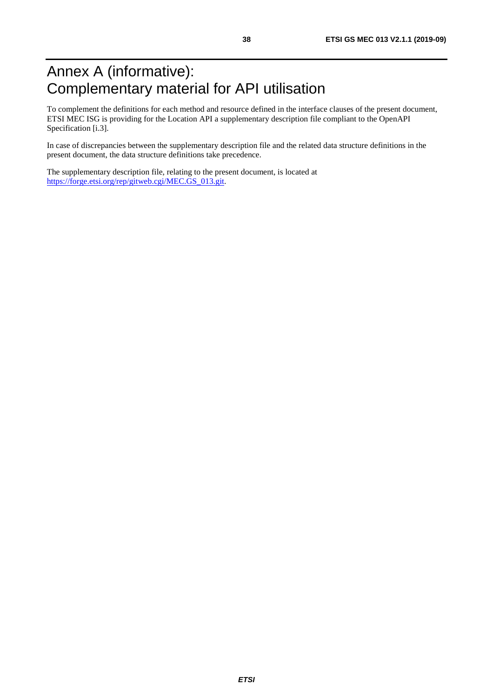## <span id="page-37-0"></span>Annex A (informative): Complementary material for API utilisation

To complement the definitions for each method and resource defined in the interface clauses of the present document, ETSI MEC ISG is providing for the Location API a supplementary description file compliant to the OpenAPI Specification [\[i.3](#page-6-0)].

In case of discrepancies between the supplementary description file and the related data structure definitions in the present document, the data structure definitions take precedence.

The supplementary description file, relating to the present document, is located at [https://forge.etsi.org/rep/gitweb.cgi/MEC.GS\\_013.git.](https://forge.etsi.org/rep/gitweb.cgi/MEC.GS_013.git)